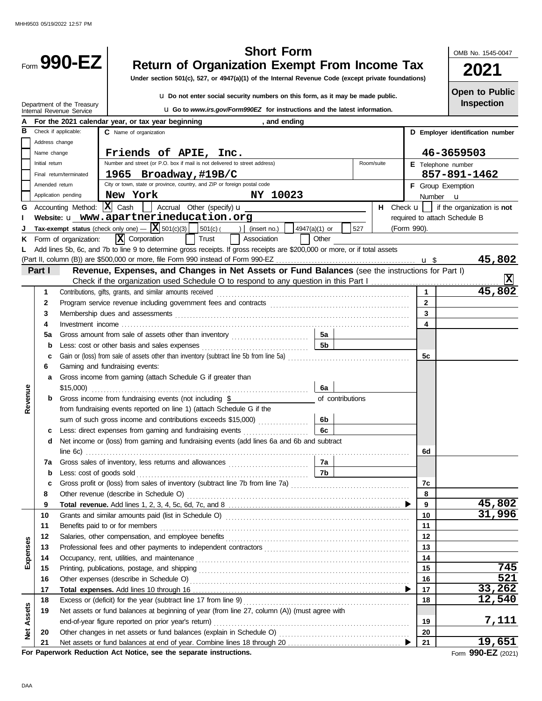|                   |                |                                                        | <b>Short Form</b>                                                                                                                                                   |                    | OMB No. 1545-0047                |
|-------------------|----------------|--------------------------------------------------------|---------------------------------------------------------------------------------------------------------------------------------------------------------------------|--------------------|----------------------------------|
|                   |                | Form 990-EZ                                            | <b>Return of Organization Exempt From Income Tax</b><br>Under section 501(c), 527, or 4947(a)(1) of the Internal Revenue Code (except private foundations)          |                    | 2021                             |
|                   |                |                                                        |                                                                                                                                                                     |                    | <b>Open to Public</b>            |
|                   |                | Department of the Treasury<br>Internal Revenue Service | U Do not enter social security numbers on this form, as it may be made public.<br><b>u</b> Go to www.irs.gov/Form990EZ for instructions and the latest information. |                    | Inspection                       |
|                   |                |                                                        | For the 2021 calendar year, or tax year beginning<br>, and ending                                                                                                   |                    |                                  |
| в                 |                | Check if applicable:                                   | C Name of organization                                                                                                                                              |                    | D Employer identification number |
|                   | Address change |                                                        |                                                                                                                                                                     |                    |                                  |
|                   | Name change    |                                                        | Friends of APIE,<br>Inc.                                                                                                                                            |                    | 46-3659503                       |
|                   | Initial return |                                                        | Number and street (or P.O. box if mail is not delivered to street address)<br>Room/suite                                                                            | E Telephone number |                                  |
|                   |                | Final return/terminated                                | 1965 Broadway,#19B/C                                                                                                                                                |                    | 857-891-1462                     |
|                   | Amended return |                                                        | City or town, state or province, country, and ZIP or foreign postal code                                                                                            | F Group Exemption  |                                  |
|                   |                | Application pending                                    | New York<br>NY 10023                                                                                                                                                | Number <b>u</b>    |                                  |
| G                 |                | Accounting Method: $ \mathbf{X} $ Cash                 | Accrual Other (specify) <b>u</b><br>н.                                                                                                                              | Check $\mathbf{u}$ | if the organization is not       |
|                   |                |                                                        | Website: u_ www.apartnerineducation.org                                                                                                                             |                    | required to attach Schedule B    |
|                   |                |                                                        | Tax-exempt status (check only one) $-$  X  501(c)(3) <br>$501(c)$ (<br>$\left  \right $ (insert no.)<br>4947(a)(1) or<br>527                                        | (Form 990).        |                                  |
| Κ                 |                | Form of organization:                                  | $ \mathbf{X} $ Corporation<br>Trust<br>Association<br>Other                                                                                                         |                    |                                  |
|                   |                |                                                        | Add lines 5b, 6c, and 7b to line 9 to determine gross receipts. If gross receipts are \$200,000 or more, or if total assets                                         |                    |                                  |
|                   |                |                                                        |                                                                                                                                                                     |                    | 45,802                           |
|                   | Part I         |                                                        | Revenue, Expenses, and Changes in Net Assets or Fund Balances (see the instructions for Part I)                                                                     |                    |                                  |
|                   |                |                                                        |                                                                                                                                                                     |                    | $ \mathbf{x} $                   |
|                   | 1              |                                                        | Contributions, gifts, grants, and similar amounts received                                                                                                          | $\mathbf{1}$       | 45,802                           |
|                   | 2              |                                                        |                                                                                                                                                                     | $\overline{2}$     |                                  |
|                   | 3              |                                                        |                                                                                                                                                                     | 3                  |                                  |
|                   | 4              |                                                        |                                                                                                                                                                     | 4                  |                                  |
|                   | 5a             |                                                        | Gross amount from sale of assets other than inventory [11] [11] Cross amount from sale of assets other than inventory<br>5а                                         |                    |                                  |
|                   | b              |                                                        | 5b                                                                                                                                                                  |                    |                                  |
|                   | с<br>6         |                                                        | Gaming and fundraising events:                                                                                                                                      | 5c                 |                                  |
|                   | а              |                                                        | Gross income from gaming (attach Schedule G if greater than                                                                                                         |                    |                                  |
|                   |                | \$15,000                                               | 6a                                                                                                                                                                  |                    |                                  |
| Revenue           | b              |                                                        | Gross income from fundraising events (not including \$<br>of contributions                                                                                          |                    |                                  |
|                   |                |                                                        | from fundraising events reported on line 1) (attach Schedule G if the                                                                                               |                    |                                  |
|                   |                |                                                        | sum of such gross income and contributions exceeds \$15,000)<br>6b                                                                                                  |                    |                                  |
|                   |                |                                                        | $\frac{1}{2}$<br>c Less: direct expenses from gaming and fundraising events                                                                                         |                    |                                  |
|                   | d              |                                                        | Net income or (loss) from gaming and fundraising events (add lines 6a and 6b and subtract                                                                           |                    |                                  |
|                   |                |                                                        |                                                                                                                                                                     | 6d                 |                                  |
|                   | 7a             |                                                        | 7a                                                                                                                                                                  |                    |                                  |
|                   | b              | Less: cost of goods sold                               | 7b                                                                                                                                                                  |                    |                                  |
|                   | с              |                                                        |                                                                                                                                                                     | 7с                 |                                  |
|                   | 8              |                                                        |                                                                                                                                                                     | 8                  |                                  |
|                   | 9              |                                                        |                                                                                                                                                                     | 9                  | 45,802                           |
|                   | 10             |                                                        |                                                                                                                                                                     | 10                 | 31,996                           |
|                   | 11             |                                                        | Benefits paid to or for members                                                                                                                                     | 11<br>12           |                                  |
|                   | 12<br>13       |                                                        |                                                                                                                                                                     | 13                 |                                  |
| Expenses          | 14             |                                                        |                                                                                                                                                                     | 14                 |                                  |
|                   | 15             |                                                        |                                                                                                                                                                     | 15                 | 745                              |
|                   | 16             |                                                        |                                                                                                                                                                     | 16                 | 521                              |
|                   | 17             |                                                        |                                                                                                                                                                     | 17                 | 33,262                           |
|                   | 18             |                                                        |                                                                                                                                                                     | 18                 | 12,540                           |
| <b>Net Assets</b> | 19             |                                                        | Net assets or fund balances at beginning of year (from line 27, column (A)) (must agree with                                                                        |                    |                                  |
|                   |                |                                                        | end-of-year figure reported on prior year's return)                                                                                                                 | 19                 | 7,111                            |
|                   | 20             |                                                        |                                                                                                                                                                     | 20                 |                                  |
|                   | 21             |                                                        |                                                                                                                                                                     | 21                 | 19,651                           |
|                   |                |                                                        | For Paperwork Reduction Act Notice, see the separate instructions.                                                                                                  |                    | Eorm $990-FT$ (2021)             |

**For Paperwork Reduction Act Notice, see the separate instructions.**

Form **990-EZ** (2021)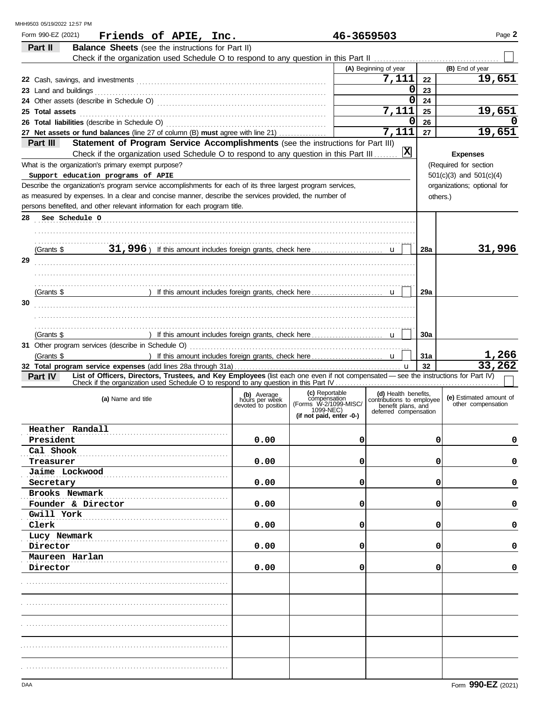| Form 990-EZ (2021)<br>Friends of APIE, Inc.                                                                                                                                                                                                                                                                                                                                                                                                                                                               |                                                      | 46-3659503                                                                                       |                                                                                                  |          | Page 2                                                                                                 |
|-----------------------------------------------------------------------------------------------------------------------------------------------------------------------------------------------------------------------------------------------------------------------------------------------------------------------------------------------------------------------------------------------------------------------------------------------------------------------------------------------------------|------------------------------------------------------|--------------------------------------------------------------------------------------------------|--------------------------------------------------------------------------------------------------|----------|--------------------------------------------------------------------------------------------------------|
| Part II<br><b>Balance Sheets</b> (see the instructions for Part II)                                                                                                                                                                                                                                                                                                                                                                                                                                       |                                                      |                                                                                                  |                                                                                                  |          |                                                                                                        |
|                                                                                                                                                                                                                                                                                                                                                                                                                                                                                                           |                                                      |                                                                                                  |                                                                                                  |          |                                                                                                        |
|                                                                                                                                                                                                                                                                                                                                                                                                                                                                                                           |                                                      |                                                                                                  | (A) Beginning of year                                                                            |          | (B) End of year                                                                                        |
|                                                                                                                                                                                                                                                                                                                                                                                                                                                                                                           |                                                      |                                                                                                  | 7,111                                                                                            | 22       | 19,651                                                                                                 |
| 23.                                                                                                                                                                                                                                                                                                                                                                                                                                                                                                       |                                                      |                                                                                                  | 0                                                                                                | 23       |                                                                                                        |
| 24.                                                                                                                                                                                                                                                                                                                                                                                                                                                                                                       |                                                      |                                                                                                  | 0                                                                                                | 24       |                                                                                                        |
| 25 Total assets                                                                                                                                                                                                                                                                                                                                                                                                                                                                                           |                                                      |                                                                                                  | 7,111                                                                                            | 25       | 19,651                                                                                                 |
|                                                                                                                                                                                                                                                                                                                                                                                                                                                                                                           |                                                      |                                                                                                  | 0                                                                                                | 26       |                                                                                                        |
| 27 Net assets or fund balances (line 27 of column (B) must agree with line 21)                                                                                                                                                                                                                                                                                                                                                                                                                            |                                                      |                                                                                                  | 7,111                                                                                            | 27       | 19,651                                                                                                 |
| Statement of Program Service Accomplishments (see the instructions for Part III)<br>Part III<br>Check if the organization used Schedule O to respond to any question in this Part III<br>What is the organization's primary exempt purpose?<br>Support education programs of APIE<br>Describe the organization's program service accomplishments for each of its three largest program services,<br>as measured by expenses. In a clear and concise manner, describe the services provided, the number of |                                                      |                                                                                                  | 図                                                                                                | others.) | <b>Expenses</b><br>(Required for section<br>$501(c)(3)$ and $501(c)(4)$<br>organizations; optional for |
| persons benefited, and other relevant information for each program title.                                                                                                                                                                                                                                                                                                                                                                                                                                 |                                                      |                                                                                                  |                                                                                                  |          |                                                                                                        |
| See Schedule O<br>28                                                                                                                                                                                                                                                                                                                                                                                                                                                                                      |                                                      |                                                                                                  |                                                                                                  |          |                                                                                                        |
|                                                                                                                                                                                                                                                                                                                                                                                                                                                                                                           |                                                      |                                                                                                  |                                                                                                  |          | 31,996                                                                                                 |
| (Grants \$                                                                                                                                                                                                                                                                                                                                                                                                                                                                                                |                                                      |                                                                                                  |                                                                                                  | 28a      |                                                                                                        |
| 29                                                                                                                                                                                                                                                                                                                                                                                                                                                                                                        |                                                      |                                                                                                  |                                                                                                  |          |                                                                                                        |
|                                                                                                                                                                                                                                                                                                                                                                                                                                                                                                           |                                                      |                                                                                                  |                                                                                                  |          |                                                                                                        |
| (Grants \$                                                                                                                                                                                                                                                                                                                                                                                                                                                                                                |                                                      |                                                                                                  |                                                                                                  | 29a      |                                                                                                        |
| 30                                                                                                                                                                                                                                                                                                                                                                                                                                                                                                        |                                                      |                                                                                                  |                                                                                                  |          |                                                                                                        |
|                                                                                                                                                                                                                                                                                                                                                                                                                                                                                                           |                                                      |                                                                                                  |                                                                                                  |          |                                                                                                        |
|                                                                                                                                                                                                                                                                                                                                                                                                                                                                                                           |                                                      |                                                                                                  |                                                                                                  |          |                                                                                                        |
| (Grants \$                                                                                                                                                                                                                                                                                                                                                                                                                                                                                                |                                                      |                                                                                                  |                                                                                                  | 30a      |                                                                                                        |
|                                                                                                                                                                                                                                                                                                                                                                                                                                                                                                           |                                                      |                                                                                                  |                                                                                                  |          |                                                                                                        |
| (Grants \$                                                                                                                                                                                                                                                                                                                                                                                                                                                                                                |                                                      |                                                                                                  |                                                                                                  | 31a      | 1,266                                                                                                  |
|                                                                                                                                                                                                                                                                                                                                                                                                                                                                                                           |                                                      |                                                                                                  | $\mathbf{u}$                                                                                     |          | 33,262                                                                                                 |
| List of Officers, Directors, Trustees, and Key Employees (list each one even if not compensated - see the instructions for Part IV)                                                                                                                                                                                                                                                                                                                                                                       |                                                      |                                                                                                  |                                                                                                  | 32       |                                                                                                        |
| Part IV                                                                                                                                                                                                                                                                                                                                                                                                                                                                                                   |                                                      |                                                                                                  |                                                                                                  |          |                                                                                                        |
| Check if the organization used Schedule O to respond to any question in this Part IV                                                                                                                                                                                                                                                                                                                                                                                                                      |                                                      |                                                                                                  |                                                                                                  |          |                                                                                                        |
| (a) Name and title                                                                                                                                                                                                                                                                                                                                                                                                                                                                                        | (b) Average<br>hours per week<br>devoted to position | (c) Reportable<br>compensation<br>/Forms W-2/1099-MISC)<br>1099-NEC)<br>(if not paid, enter -0-) | (d) Health benefits,<br>contributions to employee<br>benefit plans, and<br>deferred compensation |          | (e) Estimated amount of<br>other compensation                                                          |
|                                                                                                                                                                                                                                                                                                                                                                                                                                                                                                           |                                                      |                                                                                                  |                                                                                                  |          |                                                                                                        |
| Heather Randall<br>President                                                                                                                                                                                                                                                                                                                                                                                                                                                                              | 0.00                                                 | 0                                                                                                |                                                                                                  | 0        | 0                                                                                                      |
| Cal Shook                                                                                                                                                                                                                                                                                                                                                                                                                                                                                                 |                                                      |                                                                                                  |                                                                                                  |          |                                                                                                        |
| Treasurer                                                                                                                                                                                                                                                                                                                                                                                                                                                                                                 | 0.00                                                 | 0                                                                                                |                                                                                                  | 0        | $\mathbf 0$                                                                                            |
| Jaime Lockwood                                                                                                                                                                                                                                                                                                                                                                                                                                                                                            |                                                      |                                                                                                  |                                                                                                  |          |                                                                                                        |
| Secretary                                                                                                                                                                                                                                                                                                                                                                                                                                                                                                 | 0.00                                                 | 0                                                                                                |                                                                                                  | 0        | $\mathbf 0$                                                                                            |
| Brooks Newmark                                                                                                                                                                                                                                                                                                                                                                                                                                                                                            |                                                      |                                                                                                  |                                                                                                  |          |                                                                                                        |
| Founder & Director                                                                                                                                                                                                                                                                                                                                                                                                                                                                                        | 0.00                                                 | 0                                                                                                |                                                                                                  | 0        | $\mathbf 0$                                                                                            |
| Gwill York                                                                                                                                                                                                                                                                                                                                                                                                                                                                                                |                                                      |                                                                                                  |                                                                                                  |          |                                                                                                        |
| Clerk                                                                                                                                                                                                                                                                                                                                                                                                                                                                                                     | 0.00                                                 | 0                                                                                                |                                                                                                  | 0        | $\mathbf 0$                                                                                            |
| Lucy Newmark                                                                                                                                                                                                                                                                                                                                                                                                                                                                                              |                                                      |                                                                                                  |                                                                                                  |          |                                                                                                        |
| Director                                                                                                                                                                                                                                                                                                                                                                                                                                                                                                  | 0.00                                                 | 0                                                                                                |                                                                                                  | 0        | $\mathbf 0$                                                                                            |
| Maureen Harlan                                                                                                                                                                                                                                                                                                                                                                                                                                                                                            |                                                      |                                                                                                  |                                                                                                  |          |                                                                                                        |
| Director                                                                                                                                                                                                                                                                                                                                                                                                                                                                                                  | 0.00                                                 | 0                                                                                                |                                                                                                  | 0        | 0                                                                                                      |
|                                                                                                                                                                                                                                                                                                                                                                                                                                                                                                           |                                                      |                                                                                                  |                                                                                                  |          |                                                                                                        |
|                                                                                                                                                                                                                                                                                                                                                                                                                                                                                                           |                                                      |                                                                                                  |                                                                                                  |          |                                                                                                        |
|                                                                                                                                                                                                                                                                                                                                                                                                                                                                                                           |                                                      |                                                                                                  |                                                                                                  |          |                                                                                                        |
|                                                                                                                                                                                                                                                                                                                                                                                                                                                                                                           |                                                      |                                                                                                  |                                                                                                  |          |                                                                                                        |
|                                                                                                                                                                                                                                                                                                                                                                                                                                                                                                           |                                                      |                                                                                                  |                                                                                                  |          |                                                                                                        |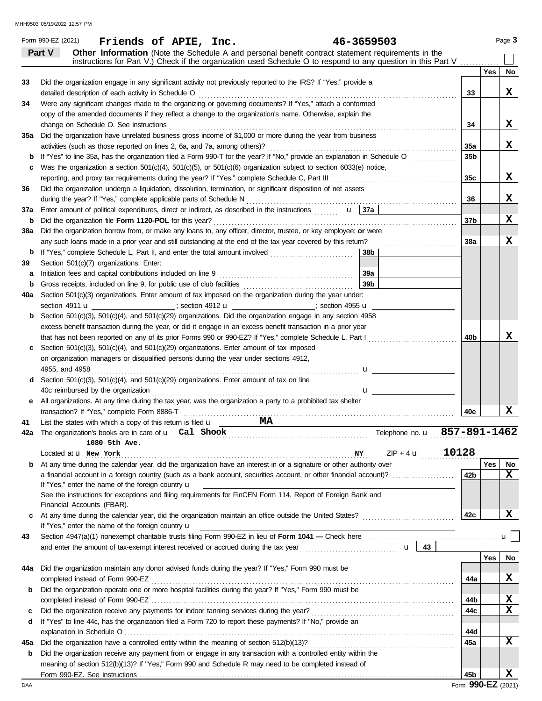|             | Form 990-EZ (2021)<br>Friends of APIE, Inc.<br>46-3659503                                                                                                                                                                     |                 |            | Page 3 |
|-------------|-------------------------------------------------------------------------------------------------------------------------------------------------------------------------------------------------------------------------------|-----------------|------------|--------|
|             | Part V<br>Other Information (Note the Schedule A and personal benefit contract statement requirements in the<br>instructions for Part V.) Check if the organization used Schedule O to respond to any question in this Part V |                 |            |        |
|             |                                                                                                                                                                                                                               |                 | <b>Yes</b> | No     |
| 33          | Did the organization engage in any significant activity not previously reported to the IRS? If "Yes," provide a                                                                                                               |                 |            |        |
|             | detailed description of each activity in Schedule O                                                                                                                                                                           | 33              |            | X      |
| 34          | Were any significant changes made to the organizing or governing documents? If "Yes," attach a conformed                                                                                                                      |                 |            |        |
|             | copy of the amended documents if they reflect a change to the organization's name. Otherwise, explain the                                                                                                                     |                 |            |        |
|             | change on Schedule O. See instructions                                                                                                                                                                                        | 34              |            | X      |
| 35а         | Did the organization have unrelated business gross income of \$1,000 or more during the year from business                                                                                                                    |                 |            | X      |
|             | activities (such as those reported on lines 2, 6a, and 7a, among others)?<br>If "Yes" to line 35a, has the organization filed a Form 990-T for the year? If "No," provide an explanation in Schedule O                        | 35a<br>35b      |            |        |
| c           | Was the organization a section $501(c)(4)$ , $501(c)(5)$ , or $501(c)(6)$ organization subject to section $6033(e)$ notice,                                                                                                   |                 |            |        |
|             | reporting, and proxy tax requirements during the year? If "Yes," complete Schedule C, Part III [[[[[[[[[[[[[[[                                                                                                                | 35 <sub>c</sub> |            | X      |
| 36          | Did the organization undergo a liquidation, dissolution, termination, or significant disposition of net assets                                                                                                                |                 |            |        |
|             | during the year? If "Yes," complete applicable parts of Schedule N                                                                                                                                                            | 36              |            | x      |
| 37a         | Enter amount of political expenditures, direct or indirect, as described in the instructions $\cdots$ $\cdots$ $\cdots$ $\cdots$ $\cdots$ $\cdots$                                                                            |                 |            |        |
| b           | Did the organization file Form 1120-POL for this year?                                                                                                                                                                        | 37b             |            | X      |
| 38a         | Did the organization borrow from, or make any loans to, any officer, director, trustee, or key employee; or were                                                                                                              |                 |            |        |
|             |                                                                                                                                                                                                                               | 38a             |            | X      |
| b           | If "Yes," complete Schedule L, Part II, and enter the total amount involved<br>38b                                                                                                                                            |                 |            |        |
| 39          | Section 501(c)(7) organizations. Enter:                                                                                                                                                                                       |                 |            |        |
| a           | Initiation fees and capital contributions included on line 9 [11] contains a series and capital contributions included on line 9<br>39a                                                                                       |                 |            |        |
| $\mathbf b$ | 39 <sub>b</sub>                                                                                                                                                                                                               |                 |            |        |
| 40a         | Section 501(c)(3) organizations. Enter amount of tax imposed on the organization during the year under:                                                                                                                       |                 |            |        |
|             | section 4911 <b>u</b><br>$\frac{1}{2}$ ; section 4912 <b>u</b><br>$\frac{1}{2}$ ; section 4955 <b>u</b>                                                                                                                       |                 |            |        |
| b           | Section 501(c)(3), 501(c)(4), and 501(c)(29) organizations. Did the organization engage in any section 4958                                                                                                                   |                 |            |        |
|             | excess benefit transaction during the year, or did it engage in an excess benefit transaction in a prior year                                                                                                                 |                 |            |        |
|             | that has not been reported on any of its prior Forms 990 or 990-EZ? If "Yes," complete Schedule L, Part I                                                                                                                     | 40b             |            | X      |
|             | Section $501(c)(3)$ , $501(c)(4)$ , and $501(c)(29)$ organizations. Enter amount of tax imposed                                                                                                                               |                 |            |        |
|             | on organization managers or disqualified persons during the year under sections 4912,<br>4955, and 4958                                                                                                                       |                 |            |        |
| d           | $\mathbf u$<br>.<br>Section $501(c)(3)$ , $501(c)(4)$ , and $501(c)(29)$ organizations. Enter amount of tax on line                                                                                                           |                 |            |        |
|             | 40c reimbursed by the organization<br>$\mathbf{u}$ and $\mathbf{u}$                                                                                                                                                           |                 |            |        |
| е           | All organizations. At any time during the tax year, was the organization a party to a prohibited tax shelter                                                                                                                  |                 |            |        |
|             | transaction? If "Yes," complete Form 8886-T                                                                                                                                                                                   | 40e             |            | X      |
| 41          | MA.<br>List the states with which a copy of this return is filed $\mathbf u$                                                                                                                                                  |                 |            |        |
| 42a         | Telephone no. u 857-891-1462<br>The organization's books are in care of $\mathbf u$ Cal Shook                                                                                                                                 |                 |            |        |
|             | 1080 5th Ave.                                                                                                                                                                                                                 |                 |            |        |
|             | $ZIP + 4$ <b>u</b><br>Located at <b>u</b> New York<br>ΝY                                                                                                                                                                      | 10128           |            |        |
| b           | At any time during the calendar year, did the organization have an interest in or a signature or other authority over                                                                                                         |                 | Yes        | No     |
|             | a financial account in a foreign country (such as a bank account, securities account, or other financial account)?                                                                                                            | 42 <sub>b</sub> |            | X      |
|             | If "Yes," enter the name of the foreign country u                                                                                                                                                                             |                 |            |        |
|             | See the instructions for exceptions and filing requirements for FinCEN Form 114, Report of Foreign Bank and                                                                                                                   |                 |            |        |
|             | Financial Accounts (FBAR).                                                                                                                                                                                                    |                 |            | x      |
| c           | At any time during the calendar year, did the organization maintain an office outside the United States?<br>If "Yes," enter the name of the foreign country $\mathbf u$                                                       | 42c             |            |        |
| 43          |                                                                                                                                                                                                                               |                 |            | u.     |
|             | 43<br>$\mathbf{u}$                                                                                                                                                                                                            |                 |            |        |
|             |                                                                                                                                                                                                                               |                 | Yes        | No.    |
| 44a         | Did the organization maintain any donor advised funds during the year? If "Yes," Form 990 must be                                                                                                                             |                 |            |        |
|             | completed instead of Form 990-EZ                                                                                                                                                                                              | 44a             |            | x      |
| b           | Did the organization operate one or more hospital facilities during the year? If "Yes," Form 990 must be                                                                                                                      |                 |            |        |
|             |                                                                                                                                                                                                                               | 44b             |            | X      |
| c           |                                                                                                                                                                                                                               | 44c             |            | X      |
| d           | If "Yes" to line 44c, has the organization filed a Form 720 to report these payments? If "No," provide an                                                                                                                     |                 |            |        |
|             |                                                                                                                                                                                                                               | 44d             |            |        |
| 45a         | Did the organization have a controlled entity within the meaning of section 512(b)(13)?                                                                                                                                       | 45a             |            | X      |
| b           | Did the organization receive any payment from or engage in any transaction with a controlled entity within the                                                                                                                |                 |            |        |
|             | meaning of section 512(b)(13)? If "Yes," Form 990 and Schedule R may need to be completed instead of                                                                                                                          |                 |            |        |
|             |                                                                                                                                                                                                                               | 45b             |            | x      |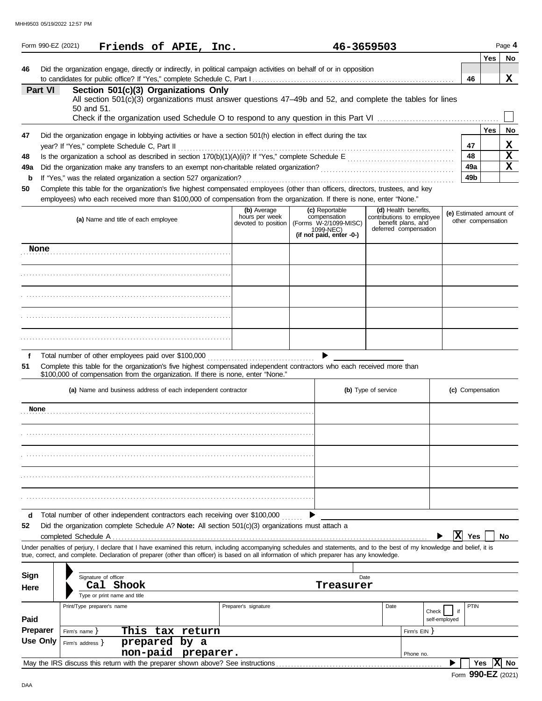|                 | Form 990-EZ (2021) |                            |                      |                                              | Friends of APIE, Inc.                                              |                                                                                                                                                                                                                                                             | 46-3659503                            |                     |                                                 |                         |                    |            | Page 4                  |
|-----------------|--------------------|----------------------------|----------------------|----------------------------------------------|--------------------------------------------------------------------|-------------------------------------------------------------------------------------------------------------------------------------------------------------------------------------------------------------------------------------------------------------|---------------------------------------|---------------------|-------------------------------------------------|-------------------------|--------------------|------------|-------------------------|
|                 |                    |                            |                      |                                              |                                                                    |                                                                                                                                                                                                                                                             |                                       |                     |                                                 |                         |                    | Yes        | No                      |
| 46              |                    |                            |                      |                                              |                                                                    | Did the organization engage, directly or indirectly, in political campaign activities on behalf of or in opposition                                                                                                                                         |                                       |                     |                                                 |                         |                    |            |                         |
|                 | Part VI            |                            |                      |                                              | Section 501(c)(3) Organizations Only                               |                                                                                                                                                                                                                                                             |                                       |                     |                                                 |                         | 46                 |            | X                       |
|                 |                    |                            |                      |                                              |                                                                    | All section 501(c)(3) organizations must answer questions 47-49b and 52, and complete the tables for lines                                                                                                                                                  |                                       |                     |                                                 |                         |                    |            |                         |
|                 |                    |                            | 50 and 51.           |                                              |                                                                    |                                                                                                                                                                                                                                                             |                                       |                     |                                                 |                         |                    |            |                         |
|                 |                    |                            |                      |                                              |                                                                    |                                                                                                                                                                                                                                                             |                                       |                     |                                                 |                         |                    |            |                         |
| 47              |                    |                            |                      |                                              |                                                                    | Did the organization engage in lobbying activities or have a section 501(h) election in effect during the tax                                                                                                                                               |                                       |                     |                                                 |                         |                    | <b>Yes</b> | No                      |
|                 |                    |                            |                      | year? If "Yes," complete Schedule C, Part II |                                                                    |                                                                                                                                                                                                                                                             |                                       |                     |                                                 |                         | 47                 |            | X                       |
| 48              |                    |                            |                      |                                              |                                                                    |                                                                                                                                                                                                                                                             |                                       |                     |                                                 |                         | 48                 |            | $\overline{\textbf{x}}$ |
| 49a             |                    |                            |                      |                                              |                                                                    |                                                                                                                                                                                                                                                             |                                       |                     |                                                 |                         | 49a                |            | $\overline{\mathbf{x}}$ |
| b               |                    |                            |                      |                                              | If "Yes," was the related organization a section 527 organization? |                                                                                                                                                                                                                                                             |                                       |                     |                                                 |                         | 49 <sub>b</sub>    |            |                         |
| 50              |                    |                            |                      |                                              |                                                                    | Complete this table for the organization's five highest compensated employees (other than officers, directors, trustees, and key<br>employees) who each received more than \$100,000 of compensation from the organization. If there is none, enter "None." |                                       |                     |                                                 |                         |                    |            |                         |
|                 |                    |                            |                      |                                              |                                                                    | (b) Average                                                                                                                                                                                                                                                 | (c) Reportable                        |                     | (d) Health benefits,                            |                         |                    |            |                         |
|                 |                    |                            |                      | (a) Name and title of each employee          |                                                                    | hours per week<br>devoted to position                                                                                                                                                                                                                       | compensation<br>(Forms W-2/1099-MISC) |                     | contributions to employee<br>benefit plans, and | (e) Estimated amount of | other compensation |            |                         |
|                 |                    |                            |                      |                                              |                                                                    |                                                                                                                                                                                                                                                             | 1099-NEC)<br>(if not paid, enter -0-) |                     | deferred compensation                           |                         |                    |            |                         |
|                 |                    |                            |                      |                                              |                                                                    |                                                                                                                                                                                                                                                             |                                       |                     |                                                 |                         |                    |            |                         |
|                 | None               |                            |                      |                                              |                                                                    |                                                                                                                                                                                                                                                             |                                       |                     |                                                 |                         |                    |            |                         |
|                 |                    |                            |                      |                                              |                                                                    |                                                                                                                                                                                                                                                             |                                       |                     |                                                 |                         |                    |            |                         |
|                 |                    |                            |                      |                                              |                                                                    |                                                                                                                                                                                                                                                             |                                       |                     |                                                 |                         |                    |            |                         |
|                 |                    |                            |                      |                                              |                                                                    |                                                                                                                                                                                                                                                             |                                       |                     |                                                 |                         |                    |            |                         |
|                 |                    |                            |                      |                                              |                                                                    |                                                                                                                                                                                                                                                             |                                       |                     |                                                 |                         |                    |            |                         |
|                 |                    |                            |                      |                                              |                                                                    |                                                                                                                                                                                                                                                             |                                       |                     |                                                 |                         |                    |            |                         |
|                 |                    |                            |                      |                                              |                                                                    |                                                                                                                                                                                                                                                             |                                       |                     |                                                 |                         |                    |            |                         |
|                 |                    |                            |                      |                                              |                                                                    |                                                                                                                                                                                                                                                             |                                       |                     |                                                 |                         |                    |            |                         |
| f               |                    |                            |                      |                                              | Total number of other employees paid over \$100,000                |                                                                                                                                                                                                                                                             |                                       |                     |                                                 |                         |                    |            |                         |
| 51              |                    |                            |                      |                                              |                                                                    | Complete this table for the organization's five highest compensated independent contractors who each received more than                                                                                                                                     |                                       |                     |                                                 |                         |                    |            |                         |
|                 |                    |                            |                      |                                              |                                                                    | \$100,000 of compensation from the organization. If there is none, enter "None."                                                                                                                                                                            |                                       |                     |                                                 |                         |                    |            |                         |
|                 |                    |                            |                      |                                              | (a) Name and business address of each independent contractor       |                                                                                                                                                                                                                                                             |                                       | (b) Type of service |                                                 |                         | (c) Compensation   |            |                         |
|                 |                    |                            |                      |                                              |                                                                    |                                                                                                                                                                                                                                                             |                                       |                     |                                                 |                         |                    |            |                         |
| None            |                    |                            |                      |                                              |                                                                    |                                                                                                                                                                                                                                                             |                                       |                     |                                                 |                         |                    |            |                         |
|                 |                    |                            |                      |                                              |                                                                    |                                                                                                                                                                                                                                                             |                                       |                     |                                                 |                         |                    |            |                         |
|                 |                    |                            |                      |                                              |                                                                    |                                                                                                                                                                                                                                                             |                                       |                     |                                                 |                         |                    |            |                         |
|                 |                    |                            |                      |                                              |                                                                    |                                                                                                                                                                                                                                                             |                                       |                     |                                                 |                         |                    |            |                         |
|                 |                    |                            |                      |                                              |                                                                    |                                                                                                                                                                                                                                                             |                                       |                     |                                                 |                         |                    |            |                         |
|                 |                    |                            |                      |                                              |                                                                    |                                                                                                                                                                                                                                                             |                                       |                     |                                                 |                         |                    |            |                         |
|                 |                    |                            |                      |                                              |                                                                    |                                                                                                                                                                                                                                                             |                                       |                     |                                                 |                         |                    |            |                         |
|                 |                    |                            |                      |                                              |                                                                    |                                                                                                                                                                                                                                                             |                                       |                     |                                                 |                         |                    |            |                         |
| d               |                    |                            |                      |                                              |                                                                    | Total number of other independent contractors each receiving over \$100,000                                                                                                                                                                                 |                                       |                     |                                                 |                         |                    |            |                         |
| 52              |                    |                            |                      |                                              |                                                                    | Did the organization complete Schedule A? Note: All section $501(c)(3)$ organizations must attach a                                                                                                                                                         |                                       |                     |                                                 |                         |                    |            |                         |
|                 |                    | completed Schedule A       |                      |                                              |                                                                    |                                                                                                                                                                                                                                                             |                                       |                     |                                                 | x                       | Yes                |            | No                      |
|                 |                    |                            |                      |                                              |                                                                    | Under penalties of perjury, I declare that I have examined this return, including accompanying schedules and statements, and to the best of my knowledge and belief, it is                                                                                  |                                       |                     |                                                 |                         |                    |            |                         |
|                 |                    |                            |                      |                                              |                                                                    | true, correct, and complete. Declaration of preparer (other than officer) is based on all information of which preparer has any knowledge.                                                                                                                  |                                       |                     |                                                 |                         |                    |            |                         |
| Sign            |                    |                            | Signature of officer |                                              |                                                                    |                                                                                                                                                                                                                                                             |                                       | Date                |                                                 |                         |                    |            |                         |
| Here            |                    |                            | Cal                  | Shook                                        |                                                                    |                                                                                                                                                                                                                                                             | Treasurer                             |                     |                                                 |                         |                    |            |                         |
|                 |                    |                            |                      | Type or print name and title                 |                                                                    |                                                                                                                                                                                                                                                             |                                       |                     |                                                 |                         |                    |            |                         |
|                 |                    | Print/Type preparer's name |                      |                                              |                                                                    | Preparer's signature                                                                                                                                                                                                                                        |                                       | Date                | Check                                           | if                      | <b>PTIN</b>        |            |                         |
| Paid            |                    |                            |                      |                                              |                                                                    |                                                                                                                                                                                                                                                             |                                       |                     |                                                 | self-employed           |                    |            |                         |
| <b>Preparer</b> |                    | Firm's name $\}$           |                      |                                              | This tax return                                                    |                                                                                                                                                                                                                                                             |                                       |                     | Firm's $EIN$ }                                  |                         |                    |            |                         |
|                 | Use Only           | Firm's address $\}$        |                      |                                              | prepared by a                                                      |                                                                                                                                                                                                                                                             |                                       |                     |                                                 |                         |                    |            |                         |
|                 |                    |                            |                      |                                              | non-paid preparer.                                                 |                                                                                                                                                                                                                                                             |                                       |                     | Phone no.                                       |                         |                    |            |                         |
|                 |                    |                            |                      |                                              |                                                                    | May the IRS discuss this return with the preparer shown above? See instructions                                                                                                                                                                             |                                       |                     |                                                 |                         | Yes                |            | <b>No</b>               |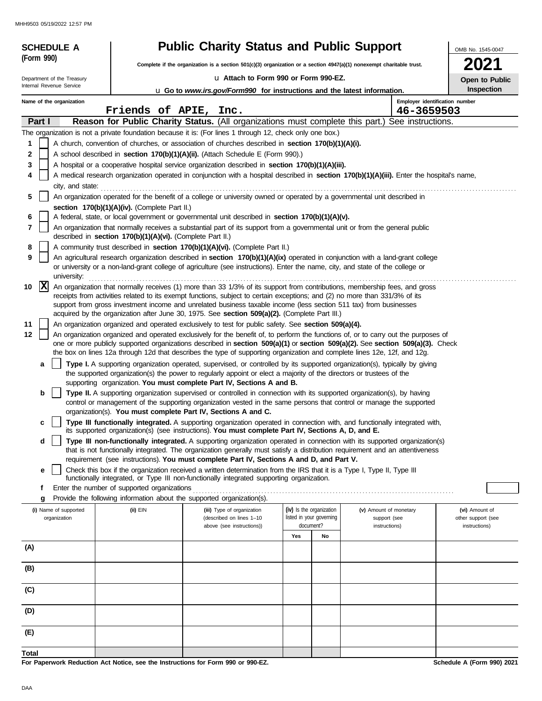MHH9503 05/19/2022 12:57 PM

| <b>Public Charity Status and Public Support</b><br><b>SCHEDULE A</b> |                                                                                                                                                                                 |                                       |  |                                                            |                                                                                                                                                                                                                                                             | OMB No. 1545-0047                                                                                                    |                                                      |                                        |                                      |  |  |  |
|----------------------------------------------------------------------|---------------------------------------------------------------------------------------------------------------------------------------------------------------------------------|---------------------------------------|--|------------------------------------------------------------|-------------------------------------------------------------------------------------------------------------------------------------------------------------------------------------------------------------------------------------------------------------|----------------------------------------------------------------------------------------------------------------------|------------------------------------------------------|----------------------------------------|--------------------------------------|--|--|--|
|                                                                      | (Form 990)                                                                                                                                                                      |                                       |  |                                                            |                                                                                                                                                                                                                                                             | Complete if the organization is a section 501(c)(3) organization or a section 4947(a)(1) nonexempt charitable trust. |                                                      |                                        |                                      |  |  |  |
|                                                                      |                                                                                                                                                                                 | Department of the Treasury            |  |                                                            | u Attach to Form 990 or Form 990-EZ.                                                                                                                                                                                                                        |                                                                                                                      |                                                      |                                        | 2021<br>Open to Public               |  |  |  |
|                                                                      |                                                                                                                                                                                 | Internal Revenue Service              |  |                                                            | <b>u</b> Go to www.irs.gov/Form990 for instructions and the latest information.                                                                                                                                                                             |                                                                                                                      |                                                      |                                        | <b>Inspection</b>                    |  |  |  |
|                                                                      |                                                                                                                                                                                 | Name of the organization              |  |                                                            |                                                                                                                                                                                                                                                             |                                                                                                                      |                                                      | Employer identification number         |                                      |  |  |  |
|                                                                      |                                                                                                                                                                                 |                                       |  | Friends of APIE, Inc.                                      |                                                                                                                                                                                                                                                             |                                                                                                                      |                                                      | 46-3659503                             |                                      |  |  |  |
|                                                                      | Part I                                                                                                                                                                          |                                       |  |                                                            | <b>Reason for Public Charity Status.</b> (All organizations must complete this part.) See instructions.<br>The organization is not a private foundation because it is: (For lines 1 through 12, check only one box.)                                        |                                                                                                                      |                                                      |                                        |                                      |  |  |  |
| 1                                                                    |                                                                                                                                                                                 |                                       |  |                                                            | A church, convention of churches, or association of churches described in section 170(b)(1)(A)(i).                                                                                                                                                          |                                                                                                                      |                                                      |                                        |                                      |  |  |  |
| 2                                                                    |                                                                                                                                                                                 |                                       |  |                                                            | A school described in section 170(b)(1)(A)(ii). (Attach Schedule E (Form 990).)                                                                                                                                                                             |                                                                                                                      |                                                      |                                        |                                      |  |  |  |
| 3                                                                    |                                                                                                                                                                                 |                                       |  |                                                            | A hospital or a cooperative hospital service organization described in section 170(b)(1)(A)(iii).                                                                                                                                                           |                                                                                                                      |                                                      |                                        |                                      |  |  |  |
| 4                                                                    |                                                                                                                                                                                 |                                       |  |                                                            | A medical research organization operated in conjunction with a hospital described in section 170(b)(1)(A)(iii). Enter the hospital's name,                                                                                                                  |                                                                                                                      |                                                      |                                        |                                      |  |  |  |
|                                                                      |                                                                                                                                                                                 | city, and state:                      |  |                                                            |                                                                                                                                                                                                                                                             |                                                                                                                      |                                                      |                                        |                                      |  |  |  |
|                                                                      | An organization operated for the benefit of a college or university owned or operated by a governmental unit described in<br>5<br>section 170(b)(1)(A)(iv). (Complete Part II.) |                                       |  |                                                            |                                                                                                                                                                                                                                                             |                                                                                                                      |                                                      |                                        |                                      |  |  |  |
| 6                                                                    |                                                                                                                                                                                 |                                       |  |                                                            | A federal, state, or local government or governmental unit described in section 170(b)(1)(A)(v).                                                                                                                                                            |                                                                                                                      |                                                      |                                        |                                      |  |  |  |
| 7                                                                    |                                                                                                                                                                                 |                                       |  |                                                            | An organization that normally receives a substantial part of its support from a governmental unit or from the general public                                                                                                                                |                                                                                                                      |                                                      |                                        |                                      |  |  |  |
|                                                                      |                                                                                                                                                                                 |                                       |  | described in section 170(b)(1)(A)(vi). (Complete Part II.) |                                                                                                                                                                                                                                                             |                                                                                                                      |                                                      |                                        |                                      |  |  |  |
| 8<br>9                                                               |                                                                                                                                                                                 |                                       |  |                                                            | A community trust described in section 170(b)(1)(A)(vi). (Complete Part II.)<br>An agricultural research organization described in section 170(b)(1)(A)(ix) operated in conjunction with a land-grant college                                               |                                                                                                                      |                                                      |                                        |                                      |  |  |  |
|                                                                      |                                                                                                                                                                                 | university:                           |  |                                                            | or university or a non-land-grant college of agriculture (see instructions). Enter the name, city, and state of the college or                                                                                                                              |                                                                                                                      |                                                      |                                        |                                      |  |  |  |
| 10                                                                   | $ {\bf x} $                                                                                                                                                                     |                                       |  |                                                            | An organization that normally receives (1) more than 33 1/3% of its support from contributions, membership fees, and gross                                                                                                                                  |                                                                                                                      |                                                      |                                        |                                      |  |  |  |
|                                                                      |                                                                                                                                                                                 |                                       |  |                                                            | receipts from activities related to its exempt functions, subject to certain exceptions; and (2) no more than 331/3% of its                                                                                                                                 |                                                                                                                      |                                                      |                                        |                                      |  |  |  |
|                                                                      |                                                                                                                                                                                 |                                       |  |                                                            | support from gross investment income and unrelated business taxable income (less section 511 tax) from businesses<br>acquired by the organization after June 30, 1975. See section 509(a)(2). (Complete Part III.)                                          |                                                                                                                      |                                                      |                                        |                                      |  |  |  |
| 11                                                                   |                                                                                                                                                                                 |                                       |  |                                                            | An organization organized and operated exclusively to test for public safety. See section 509(a)(4).                                                                                                                                                        |                                                                                                                      |                                                      |                                        |                                      |  |  |  |
| 12                                                                   |                                                                                                                                                                                 |                                       |  |                                                            | An organization organized and operated exclusively for the benefit of, to perform the functions of, or to carry out the purposes of                                                                                                                         |                                                                                                                      |                                                      |                                        |                                      |  |  |  |
|                                                                      |                                                                                                                                                                                 |                                       |  |                                                            | one or more publicly supported organizations described in section 509(a)(1) or section 509(a)(2). See section 509(a)(3). Check<br>the box on lines 12a through 12d that describes the type of supporting organization and complete lines 12e, 12f, and 12g. |                                                                                                                      |                                                      |                                        |                                      |  |  |  |
|                                                                      | a                                                                                                                                                                               |                                       |  |                                                            | Type I. A supporting organization operated, supervised, or controlled by its supported organization(s), typically by giving                                                                                                                                 |                                                                                                                      |                                                      |                                        |                                      |  |  |  |
|                                                                      |                                                                                                                                                                                 |                                       |  |                                                            | the supported organization(s) the power to regularly appoint or elect a majority of the directors or trustees of the                                                                                                                                        |                                                                                                                      |                                                      |                                        |                                      |  |  |  |
|                                                                      |                                                                                                                                                                                 |                                       |  |                                                            | supporting organization. You must complete Part IV, Sections A and B.                                                                                                                                                                                       |                                                                                                                      |                                                      |                                        |                                      |  |  |  |
|                                                                      | b                                                                                                                                                                               |                                       |  |                                                            | Type II. A supporting organization supervised or controlled in connection with its supported organization(s), by having<br>control or management of the supporting organization vested in the same persons that control or manage the supported             |                                                                                                                      |                                                      |                                        |                                      |  |  |  |
|                                                                      |                                                                                                                                                                                 |                                       |  |                                                            | organization(s). You must complete Part IV, Sections A and C.                                                                                                                                                                                               |                                                                                                                      |                                                      |                                        |                                      |  |  |  |
|                                                                      | c                                                                                                                                                                               |                                       |  |                                                            | Type III functionally integrated. A supporting organization operated in connection with, and functionally integrated with,<br>its supported organization(s) (see instructions). You must complete Part IV, Sections A, D, and E.                            |                                                                                                                      |                                                      |                                        |                                      |  |  |  |
|                                                                      | d                                                                                                                                                                               |                                       |  |                                                            | Type III non-functionally integrated. A supporting organization operated in connection with its supported organization(s)                                                                                                                                   |                                                                                                                      |                                                      |                                        |                                      |  |  |  |
|                                                                      |                                                                                                                                                                                 |                                       |  |                                                            | that is not functionally integrated. The organization generally must satisfy a distribution requirement and an attentiveness                                                                                                                                |                                                                                                                      |                                                      |                                        |                                      |  |  |  |
|                                                                      |                                                                                                                                                                                 |                                       |  |                                                            | requirement (see instructions). You must complete Part IV, Sections A and D, and Part V.                                                                                                                                                                    |                                                                                                                      |                                                      |                                        |                                      |  |  |  |
|                                                                      | е                                                                                                                                                                               |                                       |  |                                                            | Check this box if the organization received a written determination from the IRS that it is a Type I, Type II, Type III<br>functionally integrated, or Type III non-functionally integrated supporting organization.                                        |                                                                                                                      |                                                      |                                        |                                      |  |  |  |
|                                                                      | f                                                                                                                                                                               |                                       |  | Enter the number of supported organizations                |                                                                                                                                                                                                                                                             |                                                                                                                      |                                                      |                                        |                                      |  |  |  |
|                                                                      | g                                                                                                                                                                               |                                       |  |                                                            | Provide the following information about the supported organization(s).                                                                                                                                                                                      |                                                                                                                      |                                                      |                                        |                                      |  |  |  |
|                                                                      |                                                                                                                                                                                 | (i) Name of supported<br>organization |  | (ii) EIN                                                   | (iii) Type of organization<br>(described on lines 1-10                                                                                                                                                                                                      |                                                                                                                      | (iv) Is the organization<br>listed in your governing | (v) Amount of monetary<br>support (see | (vi) Amount of<br>other support (see |  |  |  |
|                                                                      |                                                                                                                                                                                 |                                       |  |                                                            | above (see instructions))                                                                                                                                                                                                                                   |                                                                                                                      | document?                                            | instructions)                          | instructions)                        |  |  |  |
|                                                                      |                                                                                                                                                                                 |                                       |  |                                                            |                                                                                                                                                                                                                                                             | Yes                                                                                                                  | No                                                   |                                        |                                      |  |  |  |
| (A)                                                                  |                                                                                                                                                                                 |                                       |  |                                                            |                                                                                                                                                                                                                                                             |                                                                                                                      |                                                      |                                        |                                      |  |  |  |
| (B)                                                                  |                                                                                                                                                                                 |                                       |  |                                                            |                                                                                                                                                                                                                                                             |                                                                                                                      |                                                      |                                        |                                      |  |  |  |
|                                                                      |                                                                                                                                                                                 |                                       |  |                                                            |                                                                                                                                                                                                                                                             |                                                                                                                      |                                                      |                                        |                                      |  |  |  |
| (C)                                                                  |                                                                                                                                                                                 |                                       |  |                                                            |                                                                                                                                                                                                                                                             |                                                                                                                      |                                                      |                                        |                                      |  |  |  |
| (D)                                                                  |                                                                                                                                                                                 |                                       |  |                                                            |                                                                                                                                                                                                                                                             |                                                                                                                      |                                                      |                                        |                                      |  |  |  |
| (E)                                                                  |                                                                                                                                                                                 |                                       |  |                                                            |                                                                                                                                                                                                                                                             |                                                                                                                      |                                                      |                                        |                                      |  |  |  |
|                                                                      |                                                                                                                                                                                 |                                       |  |                                                            |                                                                                                                                                                                                                                                             |                                                                                                                      |                                                      |                                        |                                      |  |  |  |
| Total                                                                |                                                                                                                                                                                 |                                       |  |                                                            |                                                                                                                                                                                                                                                             |                                                                                                                      |                                                      |                                        |                                      |  |  |  |

**For Paperwork Reduction Act Notice, see the Instructions for Form 990 or 990-EZ.**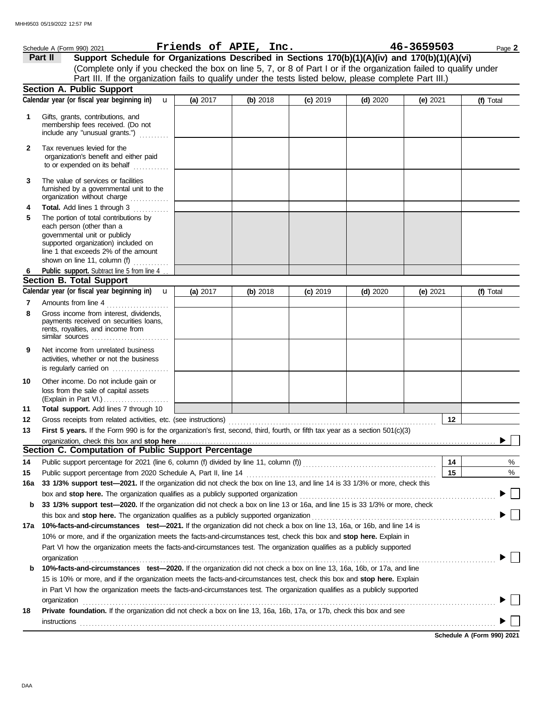|              | Schedule A (Form 990) 2021                                                                                                                                                                                                                                                                        | Friends of APIE, Inc.    |          |            |            | 46-3659503       | Page 2    |
|--------------|---------------------------------------------------------------------------------------------------------------------------------------------------------------------------------------------------------------------------------------------------------------------------------------------------|--------------------------|----------|------------|------------|------------------|-----------|
|              | Support Schedule for Organizations Described in Sections 170(b)(1)(A)(iv) and 170(b)(1)(A)(vi)<br>Part II                                                                                                                                                                                         |                          |          |            |            |                  |           |
|              | (Complete only if you checked the box on line 5, 7, or 8 of Part I or if the organization failed to qualify under                                                                                                                                                                                 |                          |          |            |            |                  |           |
|              | Part III. If the organization fails to qualify under the tests listed below, please complete Part III.)                                                                                                                                                                                           |                          |          |            |            |                  |           |
|              | <b>Section A. Public Support</b>                                                                                                                                                                                                                                                                  |                          |          |            |            |                  |           |
|              | Calendar year (or fiscal year beginning in)                                                                                                                                                                                                                                                       | (a) 2017<br>$\mathbf{u}$ | (b) 2018 | $(c)$ 2019 | $(d)$ 2020 | (e) $2021$       | (f) Total |
| 1            | Gifts, grants, contributions, and<br>membership fees received. (Do not<br>include any "unusual grants.")                                                                                                                                                                                          |                          |          |            |            |                  |           |
| $\mathbf{2}$ | Tax revenues levied for the<br>organization's benefit and either paid<br>to or expended on its behalf                                                                                                                                                                                             |                          |          |            |            |                  |           |
| 3            | The value of services or facilities<br>furnished by a governmental unit to the<br>organization without charge                                                                                                                                                                                     |                          |          |            |            |                  |           |
| 4            | Total. Add lines 1 through 3                                                                                                                                                                                                                                                                      |                          |          |            |            |                  |           |
| 5            | The portion of total contributions by<br>each person (other than a<br>governmental unit or publicly<br>supported organization) included on<br>line 1 that exceeds 2% of the amount<br>shown on line 11, column (f)                                                                                |                          |          |            |            |                  |           |
| 6            | Public support. Subtract line 5 from line 4.                                                                                                                                                                                                                                                      |                          |          |            |            |                  |           |
|              | <b>Section B. Total Support</b>                                                                                                                                                                                                                                                                   |                          |          |            |            |                  |           |
|              | Calendar year (or fiscal year beginning in) <b>u</b>                                                                                                                                                                                                                                              | (a) 2017                 | (b) 2018 | $(c)$ 2019 | $(d)$ 2020 | (e) $2021$       | (f) Total |
| 7<br>8       | Amounts from line 4<br>Gross income from interest, dividends,<br>payments received on securities loans,<br>rents, royalties, and income from<br>similar sources                                                                                                                                   |                          |          |            |            |                  |           |
| 9            | Net income from unrelated business<br>activities, whether or not the business<br>is regularly carried on                                                                                                                                                                                          |                          |          |            |            |                  |           |
| 10           | Other income. Do not include gain or<br>loss from the sale of capital assets                                                                                                                                                                                                                      |                          |          |            |            |                  |           |
| 11           | Total support. Add lines 7 through 10                                                                                                                                                                                                                                                             |                          |          |            |            |                  |           |
| 12           |                                                                                                                                                                                                                                                                                                   |                          |          |            |            | 12 <sup>12</sup> |           |
| 13           | First 5 years. If the Form 990 is for the organization's first, second, third, fourth, or fifth tax year as a section 501(c)(3)                                                                                                                                                                   |                          |          |            |            |                  |           |
|              | Section C. Computation of Public Support Percentage                                                                                                                                                                                                                                               |                          |          |            |            |                  |           |
| 14           | Public support percentage for 2021 (line 6, column (f) divided by line 11, column (f)) [[[[[[[[[[[[[[[[[[[[[[                                                                                                                                                                                     |                          |          |            |            | 14               | %         |
| 15           | Public support percentage from 2020 Schedule A, Part II, line 14                                                                                                                                                                                                                                  |                          |          |            |            | 15               | %         |
| 16a          | 33 1/3% support test-2021. If the organization did not check the box on line 13, and line 14 is 33 1/3% or more, check this                                                                                                                                                                       |                          |          |            |            |                  |           |
|              | box and stop here. The organization qualifies as a publicly supported organization                                                                                                                                                                                                                |                          |          |            |            |                  |           |
| b            | 33 1/3% support test-2020. If the organization did not check a box on line 13 or 16a, and line 15 is 33 1/3% or more, check                                                                                                                                                                       |                          |          |            |            |                  |           |
|              | this box and stop here. The organization qualifies as a publicly supported organization                                                                                                                                                                                                           |                          |          |            |            |                  |           |
|              | 17a 10%-facts-and-circumstances test-2021. If the organization did not check a box on line 13, 16a, or 16b, and line 14 is                                                                                                                                                                        |                          |          |            |            |                  |           |
|              | 10% or more, and if the organization meets the facts-and-circumstances test, check this box and stop here. Explain in                                                                                                                                                                             |                          |          |            |            |                  |           |
|              | Part VI how the organization meets the facts-and-circumstances test. The organization qualifies as a publicly supported<br>organization                                                                                                                                                           |                          |          |            |            |                  |           |
| b            | 10%-facts-and-circumstances test-2020. If the organization did not check a box on line 13, 16a, 16b, or 17a, and line                                                                                                                                                                             |                          |          |            |            |                  |           |
|              | 15 is 10% or more, and if the organization meets the facts-and-circumstances test, check this box and stop here. Explain                                                                                                                                                                          |                          |          |            |            |                  |           |
|              | in Part VI how the organization meets the facts-and-circumstances test. The organization qualifies as a publicly supported                                                                                                                                                                        |                          |          |            |            |                  |           |
|              | organization                                                                                                                                                                                                                                                                                      |                          |          |            |            |                  |           |
| 18           | Private foundation. If the organization did not check a box on line 13, 16a, 16b, 17a, or 17b, check this box and see                                                                                                                                                                             |                          |          |            |            |                  |           |
|              | $instructions$ [10] $\ldots$ [10] $\ldots$ [10] $\ldots$ [10] $\ldots$ [10] $\ldots$ [10] $\ldots$ [10] $\ldots$ [10] $\ldots$ [10] $\ldots$ [10] $\ldots$ [10] $\ldots$ [10] $\ldots$ [10] $\ldots$ [10] $\ldots$ [10] $\ldots$ [10] $\ldots$ [10] $\ldots$ [10] $\ldots$ [10] $\ldots$ [10] $\$ |                          |          |            |            |                  |           |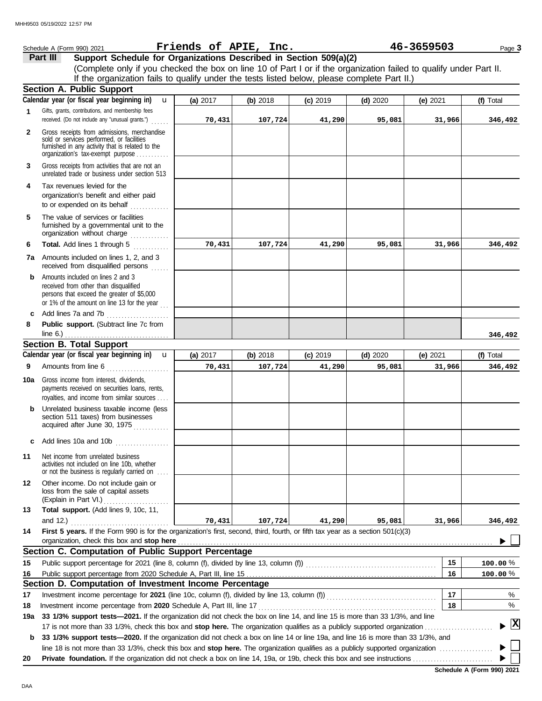|              | Schedule A (Form 990) 2021                                                                                                                                                                                                                                      |              |          |        | Friends of APIE, Inc. |         |            |            |        | 46-3659503 |        | Page 3       |
|--------------|-----------------------------------------------------------------------------------------------------------------------------------------------------------------------------------------------------------------------------------------------------------------|--------------|----------|--------|-----------------------|---------|------------|------------|--------|------------|--------|--------------|
|              | Support Schedule for Organizations Described in Section 509(a)(2)<br>Part III                                                                                                                                                                                   |              |          |        |                       |         |            |            |        |            |        |              |
|              | (Complete only if you checked the box on line 10 of Part I or if the organization failed to qualify under Part II.                                                                                                                                              |              |          |        |                       |         |            |            |        |            |        |              |
|              | If the organization fails to qualify under the tests listed below, please complete Part II.)                                                                                                                                                                    |              |          |        |                       |         |            |            |        |            |        |              |
|              | <b>Section A. Public Support</b>                                                                                                                                                                                                                                |              |          |        |                       |         |            |            |        |            |        |              |
|              | Calendar year (or fiscal year beginning in)                                                                                                                                                                                                                     | $\mathbf{u}$ | (a) 2017 |        | (b) 2018              |         | $(c)$ 2019 | $(d)$ 2020 |        | (e) 2021   |        | (f) Total    |
| 1            | Gifts, grants, contributions, and membership fees<br>received. (Do not include any "unusual grants.")                                                                                                                                                           | $\mathbf{1}$ |          | 70,431 |                       | 107,724 | 41,290     |            | 95,081 |            | 31,966 | 346,492      |
| $\mathbf{2}$ | Gross receipts from admissions, merchandise<br>sold or services performed, or facilities<br>furnished in any activity that is related to the                                                                                                                    |              |          |        |                       |         |            |            |        |            |        |              |
| 3            | organization's tax-exempt purpose<br>Gross receipts from activities that are not an                                                                                                                                                                             |              |          |        |                       |         |            |            |        |            |        |              |
| 4            | unrelated trade or business under section 513<br>Tax revenues levied for the                                                                                                                                                                                    |              |          |        |                       |         |            |            |        |            |        |              |
|              | organization's benefit and either paid<br>to or expended on its behalf                                                                                                                                                                                          | .            |          |        |                       |         |            |            |        |            |        |              |
| 5            | The value of services or facilities<br>furnished by a governmental unit to the<br>organization without charge                                                                                                                                                   |              |          |        |                       |         |            |            |        |            |        |              |
| 6            | Total. Add lines 1 through 5                                                                                                                                                                                                                                    |              |          | 70,431 |                       | 107,724 | 41,290     |            | 95,081 |            | 31,966 | 346,492      |
| 7а           | Amounts included on lines 1, 2, and 3<br>received from disqualified persons                                                                                                                                                                                     |              |          |        |                       |         |            |            |        |            |        |              |
| b            | Amounts included on lines 2 and 3<br>received from other than disqualified<br>persons that exceed the greater of \$5,000<br>or 1% of the amount on line 13 for the year                                                                                         |              |          |        |                       |         |            |            |        |            |        |              |
| c            | Add lines 7a and 7b<br>.                                                                                                                                                                                                                                        |              |          |        |                       |         |            |            |        |            |        |              |
| 8            | Public support. (Subtract line 7c from<br>line $6.$ )                                                                                                                                                                                                           |              |          |        |                       |         |            |            |        |            |        | 346,492      |
|              | <b>Section B. Total Support</b>                                                                                                                                                                                                                                 |              |          |        |                       |         |            |            |        |            |        |              |
|              | Calendar year (or fiscal year beginning in)                                                                                                                                                                                                                     | $\mathbf{u}$ | (a) 2017 |        | (b) 2018              |         | $(c)$ 2019 | $(d)$ 2020 |        | (e) 2021   |        | (f) Total    |
| 9            | Amounts from line 6                                                                                                                                                                                                                                             |              |          | 70,431 |                       | 107,724 | 41,290     |            | 95,081 |            | 31,966 | 346,492      |
| 10a          | Gross income from interest, dividends,<br>payments received on securities loans, rents,<br>royalties, and income from similar sources                                                                                                                           |              |          |        |                       |         |            |            |        |            |        |              |
|              | Unrelated business taxable income (less<br>section 511 taxes) from businesses<br>acquired after June 30, 1975                                                                                                                                                   |              |          |        |                       |         |            |            |        |            |        |              |
| с            | Add lines 10a and 10b                                                                                                                                                                                                                                           |              |          |        |                       |         |            |            |        |            |        |              |
| 11           | Net income from unrelated business<br>activities not included on line 10b, whether<br>or not the business is regularly carried on                                                                                                                               |              |          |        |                       |         |            |            |        |            |        |              |
| 12           | Other income. Do not include gain or<br>loss from the sale of capital assets<br>(Explain in Part VI.)                                                                                                                                                           |              |          |        |                       |         |            |            |        |            |        |              |
| 13           | Total support. (Add lines 9, 10c, 11,                                                                                                                                                                                                                           |              |          |        |                       |         |            |            |        |            |        |              |
|              | and 12.)                                                                                                                                                                                                                                                        |              |          | 70,431 |                       | 107,724 | 41,290     |            | 95,081 |            | 31,966 | 346,492      |
| 14           | First 5 years. If the Form 990 is for the organization's first, second, third, fourth, or fifth tax year as a section 501(c)(3)                                                                                                                                 |              |          |        |                       |         |            |            |        |            |        |              |
|              | organization, check this box and stop here                                                                                                                                                                                                                      |              |          |        |                       |         |            |            |        |            |        |              |
|              | Section C. Computation of Public Support Percentage                                                                                                                                                                                                             |              |          |        |                       |         |            |            |        |            |        |              |
| 15           | Public support percentage for 2021 (line 8, column (f), divided by line 13, column (f)) [[[[[[[[[[[[[[[[[[[[[                                                                                                                                                   |              |          |        |                       |         |            |            |        |            | 15     | $100.00\%$   |
| 16           |                                                                                                                                                                                                                                                                 |              |          |        |                       |         |            |            |        |            | 16     | 100.00%      |
|              | Section D. Computation of Investment Income Percentage                                                                                                                                                                                                          |              |          |        |                       |         |            |            |        |            |        |              |
| 17           |                                                                                                                                                                                                                                                                 |              |          |        |                       |         |            |            |        |            | 17     | $\%$         |
| 18           | Investment income percentage from 2020 Schedule A, Part III, line 17                                                                                                                                                                                            |              |          |        |                       |         |            |            |        |            | 18     | %            |
| 19a          | 33 1/3% support tests-2021. If the organization did not check the box on line 14, and line 15 is more than 33 1/3%, and line                                                                                                                                    |              |          |        |                       |         |            |            |        |            |        |              |
| b            | 17 is not more than 33 1/3%, check this box and stop here. The organization qualifies as a publicly supported organization<br>33 1/3% support tests-2020. If the organization did not check a box on line 14 or line 19a, and line 16 is more than 33 1/3%, and |              |          |        |                       |         |            |            |        |            | .      | $\mathbf{x}$ |
|              |                                                                                                                                                                                                                                                                 |              |          |        |                       |         |            |            |        |            |        |              |
| 20           |                                                                                                                                                                                                                                                                 |              |          |        |                       |         |            |            |        |            |        |              |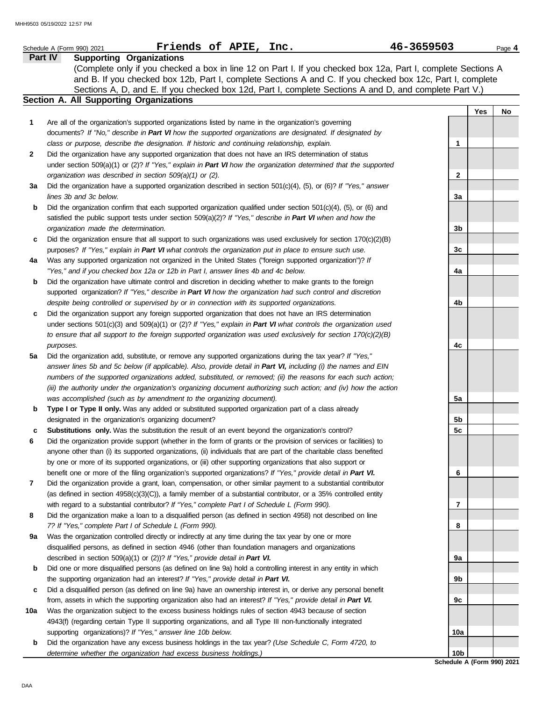|                | Friends of APIE, Inc.<br>Schedule A (Form 990) 2021                                                                                                                                                                      | 46-3659503      | Page 4    |
|----------------|--------------------------------------------------------------------------------------------------------------------------------------------------------------------------------------------------------------------------|-----------------|-----------|
| <b>Part IV</b> | <b>Supporting Organizations</b>                                                                                                                                                                                          |                 |           |
|                | (Complete only if you checked a box in line 12 on Part I. If you checked box 12a, Part I, complete Sections A                                                                                                            |                 |           |
|                | and B. If you checked box 12b, Part I, complete Sections A and C. If you checked box 12c, Part I, complete                                                                                                               |                 |           |
|                | Sections A, D, and E. If you checked box 12d, Part I, complete Sections A and D, and complete Part V.)                                                                                                                   |                 |           |
|                | <b>Section A. All Supporting Organizations</b>                                                                                                                                                                           |                 |           |
|                |                                                                                                                                                                                                                          |                 | Yes<br>No |
| 1              | Are all of the organization's supported organizations listed by name in the organization's governing                                                                                                                     |                 |           |
|                | documents? If "No," describe in Part VI how the supported organizations are designated. If designated by                                                                                                                 |                 |           |
|                | class or purpose, describe the designation. If historic and continuing relationship, explain.                                                                                                                            | 1               |           |
| 2              | Did the organization have any supported organization that does not have an IRS determination of status                                                                                                                   |                 |           |
|                | under section 509(a)(1) or (2)? If "Yes," explain in Part VI how the organization determined that the supported                                                                                                          |                 |           |
|                | organization was described in section 509(a)(1) or (2).                                                                                                                                                                  | $\mathbf{2}$    |           |
| За             | Did the organization have a supported organization described in section $501(c)(4)$ , (5), or (6)? If "Yes," answer                                                                                                      |                 |           |
|                | lines 3b and 3c below.                                                                                                                                                                                                   | 3a              |           |
| b              | Did the organization confirm that each supported organization qualified under section $501(c)(4)$ , $(5)$ , or $(6)$ and                                                                                                 |                 |           |
|                | satisfied the public support tests under section 509(a)(2)? If "Yes," describe in Part VI when and how the                                                                                                               |                 |           |
|                | organization made the determination.                                                                                                                                                                                     | 3b              |           |
| c              | Did the organization ensure that all support to such organizations was used exclusively for section $170(c)(2)(B)$                                                                                                       |                 |           |
|                | purposes? If "Yes," explain in Part VI what controls the organization put in place to ensure such use.                                                                                                                   | 3c              |           |
| 4a             | Was any supported organization not organized in the United States ("foreign supported organization")? If                                                                                                                 |                 |           |
|                | "Yes," and if you checked box 12a or 12b in Part I, answer lines 4b and 4c below.                                                                                                                                        | 4a              |           |
| b              | Did the organization have ultimate control and discretion in deciding whether to make grants to the foreign                                                                                                              |                 |           |
|                | supported organization? If "Yes," describe in Part VI how the organization had such control and discretion                                                                                                               |                 |           |
|                | despite being controlled or supervised by or in connection with its supported organizations.                                                                                                                             | 4b              |           |
| c              | Did the organization support any foreign supported organization that does not have an IRS determination                                                                                                                  |                 |           |
|                | under sections $501(c)(3)$ and $509(a)(1)$ or (2)? If "Yes," explain in Part VI what controls the organization used                                                                                                      |                 |           |
|                | to ensure that all support to the foreign supported organization was used exclusively for section $170(c)(2)(B)$                                                                                                         |                 |           |
|                | purposes.                                                                                                                                                                                                                | 4c              |           |
| 5a             | Did the organization add, substitute, or remove any supported organizations during the tax year? If "Yes,"                                                                                                               |                 |           |
|                | answer lines 5b and 5c below (if applicable). Also, provide detail in Part VI, including (i) the names and EIN                                                                                                           |                 |           |
|                | numbers of the supported organizations added, substituted, or removed; (ii) the reasons for each such action;                                                                                                            |                 |           |
|                | (iii) the authority under the organization's organizing document authorizing such action; and (iv) how the action                                                                                                        |                 |           |
|                | was accomplished (such as by amendment to the organizing document).                                                                                                                                                      | 5a              |           |
| b              | Type I or Type II only. Was any added or substituted supported organization part of a class already                                                                                                                      |                 |           |
|                | designated in the organization's organizing document?                                                                                                                                                                    | 5b<br>5c        |           |
|                | Substitutions only. Was the substitution the result of an event beyond the organization's control?<br>Did the organization provide support (whether in the form of grants or the provision of services or facilities) to |                 |           |
| 6              | anyone other than (i) its supported organizations, (ii) individuals that are part of the charitable class benefited                                                                                                      |                 |           |
|                | by one or more of its supported organizations, or (iii) other supporting organizations that also support or                                                                                                              |                 |           |
|                | benefit one or more of the filing organization's supported organizations? If "Yes," provide detail in Part VI.                                                                                                           | 6               |           |
| 7              | Did the organization provide a grant, loan, compensation, or other similar payment to a substantial contributor                                                                                                          |                 |           |
|                | (as defined in section $4958(c)(3)(C)$ ), a family member of a substantial contributor, or a 35% controlled entity                                                                                                       |                 |           |
|                | with regard to a substantial contributor? If "Yes," complete Part I of Schedule L (Form 990).                                                                                                                            | 7               |           |
| 8              | Did the organization make a loan to a disqualified person (as defined in section 4958) not described on line                                                                                                             |                 |           |
|                | 7? If "Yes," complete Part I of Schedule L (Form 990).                                                                                                                                                                   | 8               |           |
| 9а             | Was the organization controlled directly or indirectly at any time during the tax year by one or more                                                                                                                    |                 |           |
|                | disqualified persons, as defined in section 4946 (other than foundation managers and organizations                                                                                                                       |                 |           |
|                | described in section 509(a)(1) or (2))? If "Yes," provide detail in Part VI.                                                                                                                                             | 9а              |           |
| b              | Did one or more disqualified persons (as defined on line 9a) hold a controlling interest in any entity in which                                                                                                          |                 |           |
|                | the supporting organization had an interest? If "Yes," provide detail in Part VI.                                                                                                                                        | 9b              |           |
| c              | Did a disqualified person (as defined on line 9a) have an ownership interest in, or derive any personal benefit                                                                                                          |                 |           |
|                | from, assets in which the supporting organization also had an interest? If "Yes," provide detail in Part VI.                                                                                                             | 9с              |           |
| 10a            | Was the organization subject to the excess business holdings rules of section 4943 because of section                                                                                                                    |                 |           |
|                | 4943(f) (regarding certain Type II supporting organizations, and all Type III non-functionally integrated                                                                                                                |                 |           |
|                | supporting organizations)? If "Yes," answer line 10b below.                                                                                                                                                              | 10a             |           |
| b              | Did the organization have any excess business holdings in the tax year? (Use Schedule C, Form 4720, to                                                                                                                   |                 |           |
|                | determine whether the organization had excess business holdings.)                                                                                                                                                        | 10 <sub>b</sub> |           |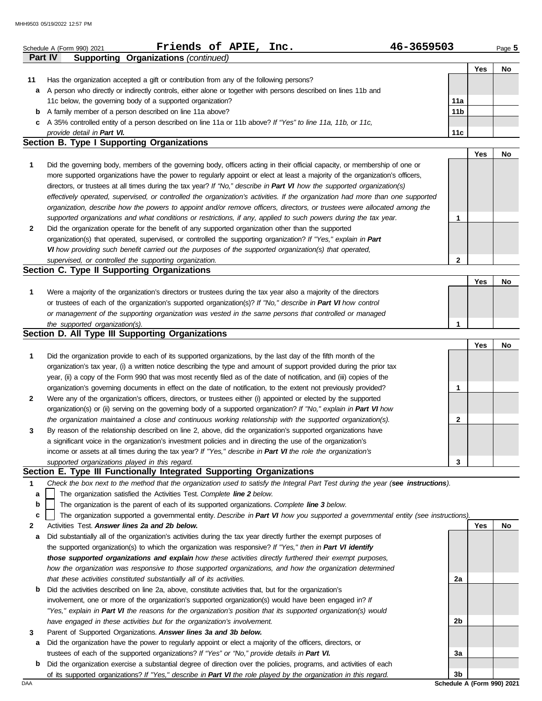|     | Friends of APIE, Inc.<br>Schedule A (Form 990) 2021<br><b>Supporting Organizations (continued)</b><br>Part IV                                                                                                                              | 46-3659503                 |     | Page 5 |
|-----|--------------------------------------------------------------------------------------------------------------------------------------------------------------------------------------------------------------------------------------------|----------------------------|-----|--------|
|     |                                                                                                                                                                                                                                            |                            | Yes | No     |
| 11  | Has the organization accepted a gift or contribution from any of the following persons?                                                                                                                                                    |                            |     |        |
| a   | A person who directly or indirectly controls, either alone or together with persons described on lines 11b and                                                                                                                             |                            |     |        |
|     | 11c below, the governing body of a supported organization?                                                                                                                                                                                 | 11a                        |     |        |
| b   | A family member of a person described on line 11a above?                                                                                                                                                                                   | 11b                        |     |        |
| c   | A 35% controlled entity of a person described on line 11a or 11b above? If "Yes" to line 11a, 11b, or 11c,                                                                                                                                 |                            |     |        |
|     | provide detail in Part VI.                                                                                                                                                                                                                 | 11c                        |     |        |
|     | Section B. Type I Supporting Organizations                                                                                                                                                                                                 |                            |     |        |
|     |                                                                                                                                                                                                                                            |                            | Yes | No     |
| 1   | Did the governing body, members of the governing body, officers acting in their official capacity, or membership of one or                                                                                                                 |                            |     |        |
|     | more supported organizations have the power to regularly appoint or elect at least a majority of the organization's officers,                                                                                                              |                            |     |        |
|     | directors, or trustees at all times during the tax year? If "No," describe in Part VI how the supported organization(s)                                                                                                                    |                            |     |        |
|     | effectively operated, supervised, or controlled the organization's activities. If the organization had more than one supported                                                                                                             |                            |     |        |
|     | organization, describe how the powers to appoint and/or remove officers, directors, or trustees were allocated among the                                                                                                                   |                            |     |        |
|     | supported organizations and what conditions or restrictions, if any, applied to such powers during the tax year.                                                                                                                           | 1                          |     |        |
| 2   | Did the organization operate for the benefit of any supported organization other than the supported                                                                                                                                        |                            |     |        |
|     | organization(s) that operated, supervised, or controlled the supporting organization? If "Yes," explain in Part                                                                                                                            |                            |     |        |
|     | VI how providing such benefit carried out the purposes of the supported organization(s) that operated,                                                                                                                                     |                            |     |        |
|     | supervised, or controlled the supporting organization.                                                                                                                                                                                     | $\mathbf{2}$               |     |        |
|     | Section C. Type II Supporting Organizations                                                                                                                                                                                                |                            |     |        |
|     |                                                                                                                                                                                                                                            |                            | Yes | No     |
| 1   | Were a majority of the organization's directors or trustees during the tax year also a majority of the directors                                                                                                                           |                            |     |        |
|     | or trustees of each of the organization's supported organization(s)? If "No," describe in Part VI how control                                                                                                                              |                            |     |        |
|     | or management of the supporting organization was vested in the same persons that controlled or managed                                                                                                                                     |                            |     |        |
|     | the supported organization(s).                                                                                                                                                                                                             | 1                          |     |        |
|     | Section D. All Type III Supporting Organizations                                                                                                                                                                                           |                            |     |        |
|     |                                                                                                                                                                                                                                            |                            | Yes | No     |
| 1   | Did the organization provide to each of its supported organizations, by the last day of the fifth month of the                                                                                                                             |                            |     |        |
|     | organization's tax year, (i) a written notice describing the type and amount of support provided during the prior tax                                                                                                                      |                            |     |        |
|     | year, (ii) a copy of the Form 990 that was most recently filed as of the date of notification, and (iii) copies of the<br>organization's governing documents in effect on the date of notification, to the extent not previously provided? | 1                          |     |        |
| 2   | Were any of the organization's officers, directors, or trustees either (i) appointed or elected by the supported                                                                                                                           |                            |     |        |
|     | organization(s) or (ii) serving on the governing body of a supported organization? If "No," explain in Part VI how                                                                                                                         |                            |     |        |
|     | the organization maintained a close and continuous working relationship with the supported organization(s).                                                                                                                                | 2                          |     |        |
| 3   | By reason of the relationship described on line 2, above, did the organization's supported organizations have                                                                                                                              |                            |     |        |
|     | a significant voice in the organization's investment policies and in directing the use of the organization's                                                                                                                               |                            |     |        |
|     | income or assets at all times during the tax year? If "Yes," describe in Part VI the role the organization's                                                                                                                               |                            |     |        |
|     | supported organizations played in this regard.                                                                                                                                                                                             | 3                          |     |        |
|     | Section E. Type III Functionally Integrated Supporting Organizations                                                                                                                                                                       |                            |     |        |
| 1   | Check the box next to the method that the organization used to satisfy the Integral Part Test during the year (see instructions).                                                                                                          |                            |     |        |
| a   | The organization satisfied the Activities Test. Complete line 2 below.                                                                                                                                                                     |                            |     |        |
| b   | The organization is the parent of each of its supported organizations. Complete line 3 below.                                                                                                                                              |                            |     |        |
| c   | The organization supported a governmental entity. Describe in Part VI how you supported a governmental entity (see instructions).                                                                                                          |                            |     |        |
| 2   | Activities Test. Answer lines 2a and 2b below.                                                                                                                                                                                             |                            | Yes | No     |
| а   | Did substantially all of the organization's activities during the tax year directly further the exempt purposes of                                                                                                                         |                            |     |        |
|     | the supported organization(s) to which the organization was responsive? If "Yes," then in Part VI identify                                                                                                                                 |                            |     |        |
|     | those supported organizations and explain how these activities directly furthered their exempt purposes,                                                                                                                                   |                            |     |        |
|     | how the organization was responsive to those supported organizations, and how the organization determined                                                                                                                                  |                            |     |        |
|     | that these activities constituted substantially all of its activities.                                                                                                                                                                     | 2a                         |     |        |
| b   | Did the activities described on line 2a, above, constitute activities that, but for the organization's                                                                                                                                     |                            |     |        |
|     | involvement, one or more of the organization's supported organization(s) would have been engaged in? If                                                                                                                                    |                            |     |        |
|     | "Yes," explain in Part VI the reasons for the organization's position that its supported organization(s) would                                                                                                                             |                            |     |        |
|     | have engaged in these activities but for the organization's involvement.                                                                                                                                                                   | 2b                         |     |        |
| 3   | Parent of Supported Organizations. Answer lines 3a and 3b below.                                                                                                                                                                           |                            |     |        |
| a   | Did the organization have the power to regularly appoint or elect a majority of the officers, directors, or                                                                                                                                |                            |     |        |
|     | trustees of each of the supported organizations? If "Yes" or "No," provide details in Part VI.                                                                                                                                             | За                         |     |        |
| b   | Did the organization exercise a substantial degree of direction over the policies, programs, and activities of each                                                                                                                        |                            |     |        |
|     | of its supported organizations? If "Yes," describe in Part VI the role played by the organization in this regard.                                                                                                                          | 3b                         |     |        |
| DAA |                                                                                                                                                                                                                                            | Schedule A (Form 990) 2021 |     |        |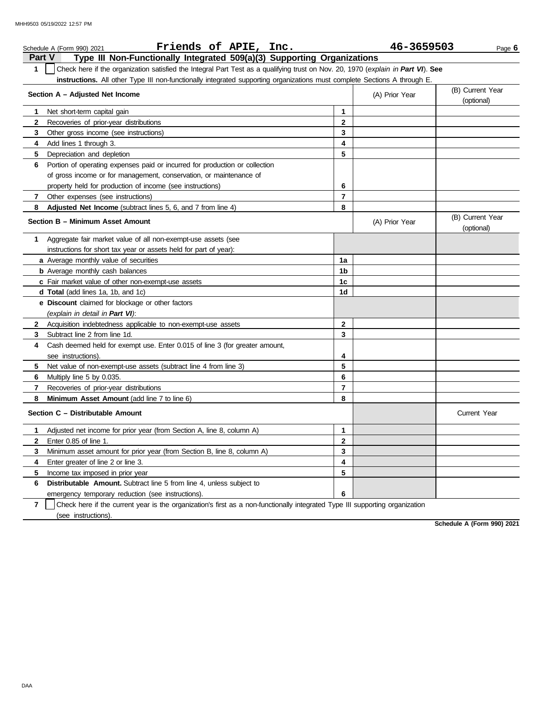|               | Friends of APIE, Inc.<br>Schedule A (Form 990) 2021                                                                              |                | 46-3659503     | Page 6                         |
|---------------|----------------------------------------------------------------------------------------------------------------------------------|----------------|----------------|--------------------------------|
| <b>Part V</b> | Type III Non-Functionally Integrated 509(a)(3) Supporting Organizations                                                          |                |                |                                |
| $\mathbf 1$   | Check here if the organization satisfied the Integral Part Test as a qualifying trust on Nov. 20, 1970 (explain in Part VI). See |                |                |                                |
|               | instructions. All other Type III non-functionally integrated supporting organizations must complete Sections A through E.        |                |                |                                |
|               | Section A – Adjusted Net Income                                                                                                  |                | (A) Prior Year | (B) Current Year<br>(optional) |
| 1.            | Net short-term capital gain                                                                                                      | 1              |                |                                |
| $\mathbf{2}$  | Recoveries of prior-year distributions                                                                                           | $\mathbf{2}$   |                |                                |
| 3             | Other gross income (see instructions)                                                                                            | 3              |                |                                |
| 4             | Add lines 1 through 3.                                                                                                           | 4              |                |                                |
| 5             | Depreciation and depletion                                                                                                       | 5              |                |                                |
| 6             | Portion of operating expenses paid or incurred for production or collection                                                      |                |                |                                |
|               | of gross income or for management, conservation, or maintenance of                                                               |                |                |                                |
|               | property held for production of income (see instructions)                                                                        | 6              |                |                                |
| $\mathbf{7}$  | Other expenses (see instructions)                                                                                                | $\overline{7}$ |                |                                |
| 8             | Adjusted Net Income (subtract lines 5, 6, and 7 from line 4)                                                                     | 8              |                |                                |
|               | Section B - Minimum Asset Amount                                                                                                 |                | (A) Prior Year | (B) Current Year<br>(optional) |
| 1             | Aggregate fair market value of all non-exempt-use assets (see                                                                    |                |                |                                |
|               | instructions for short tax year or assets held for part of year):                                                                |                |                |                                |
|               | a Average monthly value of securities                                                                                            | 1a             |                |                                |
|               | <b>b</b> Average monthly cash balances                                                                                           | 1b             |                |                                |
|               | c Fair market value of other non-exempt-use assets                                                                               | 1c             |                |                                |
|               | d Total (add lines 1a, 1b, and 1c)                                                                                               | 1d             |                |                                |
|               | e Discount claimed for blockage or other factors                                                                                 |                |                |                                |
|               | (explain in detail in Part VI):                                                                                                  |                |                |                                |
|               | 2 Acquisition indebtedness applicable to non-exempt-use assets                                                                   | $\mathbf{2}$   |                |                                |
| 3             | Subtract line 2 from line 1d.                                                                                                    | 3              |                |                                |
| 4             | Cash deemed held for exempt use. Enter 0.015 of line 3 (for greater amount,                                                      |                |                |                                |
|               | see instructions).                                                                                                               | 4              |                |                                |
| 5             | Net value of non-exempt-use assets (subtract line 4 from line 3)                                                                 | 5              |                |                                |
| 6             | Multiply line 5 by 0.035.                                                                                                        | 6              |                |                                |
| 7             | Recoveries of prior-year distributions                                                                                           | $\overline{7}$ |                |                                |
| 8             | Minimum Asset Amount (add line 7 to line 6)                                                                                      | 8              |                |                                |
|               | Section C - Distributable Amount                                                                                                 |                |                | <b>Current Year</b>            |
|               | 1 Adjusted net income for prior year (from Section A, line 8, column A)                                                          | 1              |                |                                |
| $\mathbf{2}$  | Enter 0.85 of line 1.                                                                                                            | 2              |                |                                |
| 3             | Minimum asset amount for prior year (from Section B, line 8, column A)                                                           | 3              |                |                                |
| 4             | Enter greater of line 2 or line 3.                                                                                               | 4              |                |                                |
| 5             | Income tax imposed in prior year                                                                                                 | 5              |                |                                |
| 6             | Distributable Amount. Subtract line 5 from line 4, unless subject to                                                             |                |                |                                |
|               | emergency temporary reduction (see instructions).                                                                                | 6              |                |                                |
|               |                                                                                                                                  |                |                |                                |

**7** | Check here if the current year is the organization's first as a non-functionally integrated Type III supporting organization (see instructions).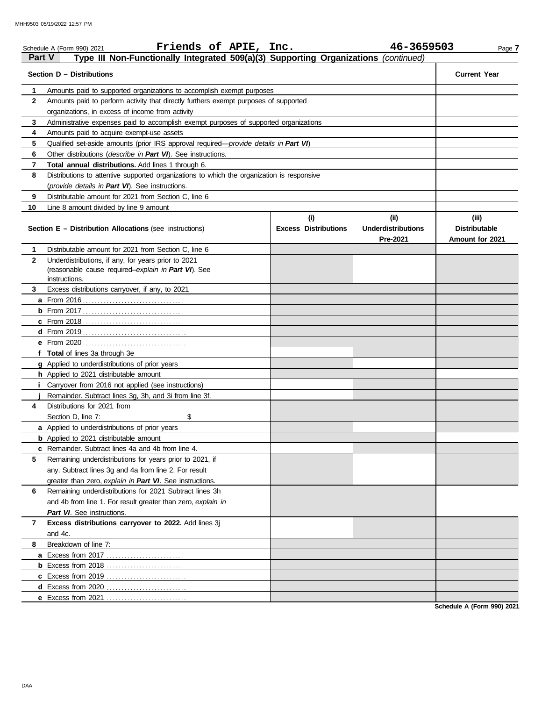|              | Friends of APIE, Inc.<br>Schedule A (Form 990) 2021                                           |                             | 46-3659503                            | Page 7                                  |
|--------------|-----------------------------------------------------------------------------------------------|-----------------------------|---------------------------------------|-----------------------------------------|
|              | Part V<br>Type III Non-Functionally Integrated 509(a)(3) Supporting Organizations (continued) |                             |                                       |                                         |
|              | Section D - Distributions                                                                     |                             |                                       | <b>Current Year</b>                     |
| 1            | Amounts paid to supported organizations to accomplish exempt purposes                         |                             |                                       |                                         |
| $\mathbf{2}$ | Amounts paid to perform activity that directly furthers exempt purposes of supported          |                             |                                       |                                         |
|              | organizations, in excess of income from activity                                              |                             |                                       |                                         |
| 3            | Administrative expenses paid to accomplish exempt purposes of supported organizations         |                             |                                       |                                         |
| 4            | Amounts paid to acquire exempt-use assets                                                     |                             |                                       |                                         |
| 5            | Qualified set-aside amounts (prior IRS approval required—provide details in Part VI)          |                             |                                       |                                         |
| 6            | Other distributions ( <i>describe in Part VI</i> ). See instructions.                         |                             |                                       |                                         |
| 7            | Total annual distributions. Add lines 1 through 6.                                            |                             |                                       |                                         |
| 8            | Distributions to attentive supported organizations to which the organization is responsive    |                             |                                       |                                         |
|              | ( <i>provide details in Part VI</i> ). See instructions.                                      |                             |                                       |                                         |
| 9            | Distributable amount for 2021 from Section C, line 6                                          |                             |                                       |                                         |
| 10           | Line 8 amount divided by line 9 amount                                                        |                             |                                       |                                         |
|              |                                                                                               | (i)                         | (ii)                                  | (iii)                                   |
|              | <b>Section E - Distribution Allocations (see instructions)</b>                                | <b>Excess Distributions</b> | <b>Underdistributions</b><br>Pre-2021 | <b>Distributable</b><br>Amount for 2021 |
| 1.           | Distributable amount for 2021 from Section C, line 6                                          |                             |                                       |                                         |
| $\mathbf{2}$ | Underdistributions, if any, for years prior to 2021                                           |                             |                                       |                                         |
|              | (reasonable cause required-explain in Part VI). See                                           |                             |                                       |                                         |
|              | instructions.                                                                                 |                             |                                       |                                         |
| 3            | Excess distributions carryover, if any, to 2021                                               |                             |                                       |                                         |
|              |                                                                                               |                             |                                       |                                         |
|              |                                                                                               |                             |                                       |                                         |
|              |                                                                                               |                             |                                       |                                         |
|              |                                                                                               |                             |                                       |                                         |
|              |                                                                                               |                             |                                       |                                         |
|              | f Total of lines 3a through 3e                                                                |                             |                                       |                                         |
|              | g Applied to underdistributions of prior years                                                |                             |                                       |                                         |
|              | h Applied to 2021 distributable amount                                                        |                             |                                       |                                         |
|              | <i>i</i> Carryover from 2016 not applied (see instructions)                                   |                             |                                       |                                         |
|              | Remainder. Subtract lines 3g, 3h, and 3i from line 3f.                                        |                             |                                       |                                         |
| 4            | Distributions for 2021 from                                                                   |                             |                                       |                                         |
|              | Section D, line 7:<br>\$                                                                      |                             |                                       |                                         |
|              | a Applied to underdistributions of prior years                                                |                             |                                       |                                         |
|              | <b>b</b> Applied to 2021 distributable amount                                                 |                             |                                       |                                         |
|              | c Remainder. Subtract lines 4a and 4b from line 4.                                            |                             |                                       |                                         |
| 5            | Remaining underdistributions for years prior to 2021, if                                      |                             |                                       |                                         |
|              | any. Subtract lines 3g and 4a from line 2. For result                                         |                             |                                       |                                         |
|              | greater than zero, explain in Part VI. See instructions.                                      |                             |                                       |                                         |
| 6            | Remaining underdistributions for 2021 Subtract lines 3h                                       |                             |                                       |                                         |
|              | and 4b from line 1. For result greater than zero, explain in                                  |                             |                                       |                                         |
|              | Part VI. See instructions.                                                                    |                             |                                       |                                         |
| 7            | Excess distributions carryover to 2022. Add lines 3j                                          |                             |                                       |                                         |
| 8            | and 4c.<br>Breakdown of line 7:                                                               |                             |                                       |                                         |
|              |                                                                                               |                             |                                       |                                         |
|              |                                                                                               |                             |                                       |                                         |
|              |                                                                                               |                             |                                       |                                         |
|              |                                                                                               |                             |                                       |                                         |
|              |                                                                                               |                             |                                       |                                         |
|              |                                                                                               |                             |                                       |                                         |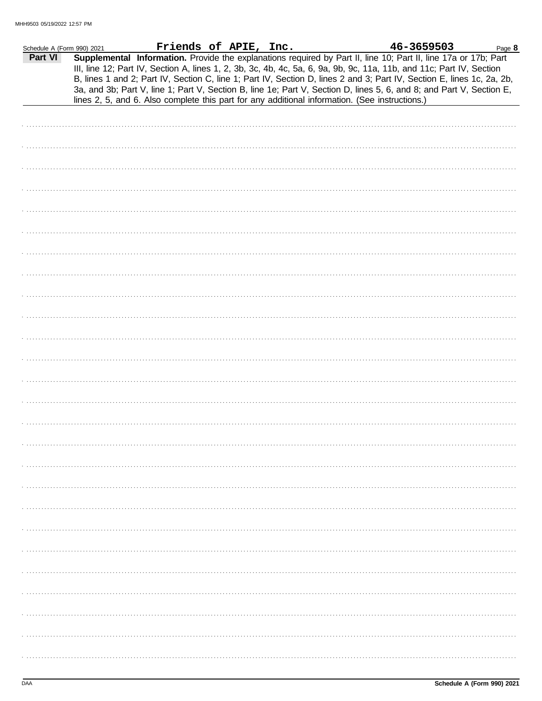| Schedule A (Form 990) 2021 | Friends of APIE, Inc.                                                                                                                                                                                                                                                                                                                                                                                                                                                                                                                                                                       | 46-3659503 | Page 8 |
|----------------------------|---------------------------------------------------------------------------------------------------------------------------------------------------------------------------------------------------------------------------------------------------------------------------------------------------------------------------------------------------------------------------------------------------------------------------------------------------------------------------------------------------------------------------------------------------------------------------------------------|------------|--------|
| Part VI                    | Supplemental Information. Provide the explanations required by Part II, line 10; Part II, line 17a or 17b; Part<br>III, line 12; Part IV, Section A, lines 1, 2, 3b, 3c, 4b, 4c, 5a, 6, 9a, 9b, 9c, 11a, 11b, and 11c; Part IV, Section<br>B, lines 1 and 2; Part IV, Section C, line 1; Part IV, Section D, lines 2 and 3; Part IV, Section E, lines 1c, 2a, 2b,<br>3a, and 3b; Part V, line 1; Part V, Section B, line 1e; Part V, Section D, lines 5, 6, and 8; and Part V, Section E,<br>lines 2, 5, and 6. Also complete this part for any additional information. (See instructions.) |            |        |
|                            |                                                                                                                                                                                                                                                                                                                                                                                                                                                                                                                                                                                             |            |        |
|                            |                                                                                                                                                                                                                                                                                                                                                                                                                                                                                                                                                                                             |            |        |
|                            |                                                                                                                                                                                                                                                                                                                                                                                                                                                                                                                                                                                             |            |        |
|                            |                                                                                                                                                                                                                                                                                                                                                                                                                                                                                                                                                                                             |            |        |
|                            |                                                                                                                                                                                                                                                                                                                                                                                                                                                                                                                                                                                             |            |        |
|                            |                                                                                                                                                                                                                                                                                                                                                                                                                                                                                                                                                                                             |            |        |
|                            |                                                                                                                                                                                                                                                                                                                                                                                                                                                                                                                                                                                             |            |        |
|                            |                                                                                                                                                                                                                                                                                                                                                                                                                                                                                                                                                                                             |            |        |
|                            |                                                                                                                                                                                                                                                                                                                                                                                                                                                                                                                                                                                             |            |        |
|                            |                                                                                                                                                                                                                                                                                                                                                                                                                                                                                                                                                                                             |            |        |
|                            |                                                                                                                                                                                                                                                                                                                                                                                                                                                                                                                                                                                             |            |        |
|                            |                                                                                                                                                                                                                                                                                                                                                                                                                                                                                                                                                                                             |            |        |
|                            |                                                                                                                                                                                                                                                                                                                                                                                                                                                                                                                                                                                             |            |        |
|                            |                                                                                                                                                                                                                                                                                                                                                                                                                                                                                                                                                                                             |            |        |
|                            |                                                                                                                                                                                                                                                                                                                                                                                                                                                                                                                                                                                             |            |        |
|                            |                                                                                                                                                                                                                                                                                                                                                                                                                                                                                                                                                                                             |            |        |
|                            |                                                                                                                                                                                                                                                                                                                                                                                                                                                                                                                                                                                             |            |        |
|                            |                                                                                                                                                                                                                                                                                                                                                                                                                                                                                                                                                                                             |            |        |
|                            |                                                                                                                                                                                                                                                                                                                                                                                                                                                                                                                                                                                             |            |        |
|                            |                                                                                                                                                                                                                                                                                                                                                                                                                                                                                                                                                                                             |            |        |
|                            |                                                                                                                                                                                                                                                                                                                                                                                                                                                                                                                                                                                             |            |        |
|                            |                                                                                                                                                                                                                                                                                                                                                                                                                                                                                                                                                                                             |            |        |
|                            |                                                                                                                                                                                                                                                                                                                                                                                                                                                                                                                                                                                             |            |        |
|                            |                                                                                                                                                                                                                                                                                                                                                                                                                                                                                                                                                                                             |            |        |
|                            |                                                                                                                                                                                                                                                                                                                                                                                                                                                                                                                                                                                             |            |        |
|                            |                                                                                                                                                                                                                                                                                                                                                                                                                                                                                                                                                                                             |            |        |
|                            |                                                                                                                                                                                                                                                                                                                                                                                                                                                                                                                                                                                             |            |        |
|                            |                                                                                                                                                                                                                                                                                                                                                                                                                                                                                                                                                                                             |            |        |
|                            |                                                                                                                                                                                                                                                                                                                                                                                                                                                                                                                                                                                             |            |        |
|                            |                                                                                                                                                                                                                                                                                                                                                                                                                                                                                                                                                                                             |            |        |
|                            |                                                                                                                                                                                                                                                                                                                                                                                                                                                                                                                                                                                             |            |        |
|                            |                                                                                                                                                                                                                                                                                                                                                                                                                                                                                                                                                                                             |            |        |
|                            |                                                                                                                                                                                                                                                                                                                                                                                                                                                                                                                                                                                             |            |        |
|                            |                                                                                                                                                                                                                                                                                                                                                                                                                                                                                                                                                                                             |            |        |
|                            |                                                                                                                                                                                                                                                                                                                                                                                                                                                                                                                                                                                             |            |        |
|                            |                                                                                                                                                                                                                                                                                                                                                                                                                                                                                                                                                                                             |            |        |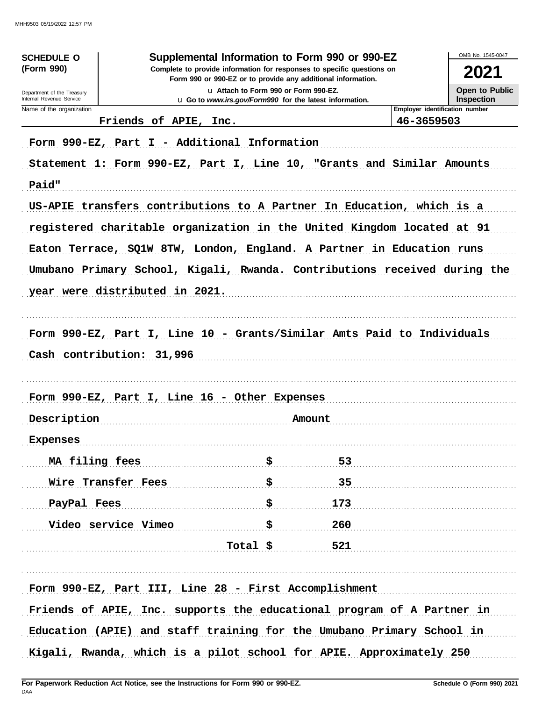| <b>SCHEDULE O</b><br>(Form 990)<br>Department of the Treasury<br>Internal Revenue Service | Supplemental Information to Form 990 or 990-EZ<br>Complete to provide information for responses to specific questions on<br>Form 990 or 990-EZ or to provide any additional information.<br>La Attach to Form 990 or Form 990-EZ.<br>u Go to www.irs.gov/Form990 for the latest information.                                                                                                                                    |          |        | OMB No. 1545-0047<br>2021<br>Open to Public<br><b>Inspection</b> |
|-------------------------------------------------------------------------------------------|---------------------------------------------------------------------------------------------------------------------------------------------------------------------------------------------------------------------------------------------------------------------------------------------------------------------------------------------------------------------------------------------------------------------------------|----------|--------|------------------------------------------------------------------|
| Name of the organization                                                                  | Friends of APIE, Inc.                                                                                                                                                                                                                                                                                                                                                                                                           |          |        | Employer identification number<br>46-3659503                     |
| Paid"                                                                                     | Form 990-EZ, Part I - Additional Information<br>Statement 1: Form 990-EZ, Part I, Line 10, "Grants and Similar Amounts<br>US-APIE transfers contributions to A Partner In Education, which is a<br>registered charitable organization in the United Kingdom located at 91<br>Eaton Terrace, SQ1W 8TW, London, England. A Partner in Education runs<br>Umubano Primary School, Kigali, Rwanda. Contributions received during the |          |        |                                                                  |
|                                                                                           | year were distributed in 2021.<br>Form 990-EZ, Part I, Line 10 - Grants/Similar Amts Paid to Individuals<br>Cash contribution: 31,996                                                                                                                                                                                                                                                                                           |          |        |                                                                  |
| Description                                                                               | Form 990-EZ, Part I, Line 16 - Other Expenses                                                                                                                                                                                                                                                                                                                                                                                   |          | Amount |                                                                  |
| <b>Expenses</b>                                                                           | MA filing fees \$                                                                                                                                                                                                                                                                                                                                                                                                               |          | 53     |                                                                  |
|                                                                                           | $Write$ Transfer Fees $\frac{1}{5}$ 35                                                                                                                                                                                                                                                                                                                                                                                          |          |        |                                                                  |
|                                                                                           | PayPal Fees $\zeta$                                                                                                                                                                                                                                                                                                                                                                                                             |          | 173    |                                                                  |
|                                                                                           | Video service Vimeo \$                                                                                                                                                                                                                                                                                                                                                                                                          |          | 260    |                                                                  |
|                                                                                           |                                                                                                                                                                                                                                                                                                                                                                                                                                 | Total \$ | 521    |                                                                  |
|                                                                                           | Form 990-EZ, Part III, Line 28 - First Accomplishment<br>Friends of APIE, Inc. supports the educational program of A Partner in<br>Education (APIE) and staff training for the Umubano Primary School in<br>Kigali, Rwanda, which is a pilot school for APIE. Approximately 250                                                                                                                                                 |          |        |                                                                  |